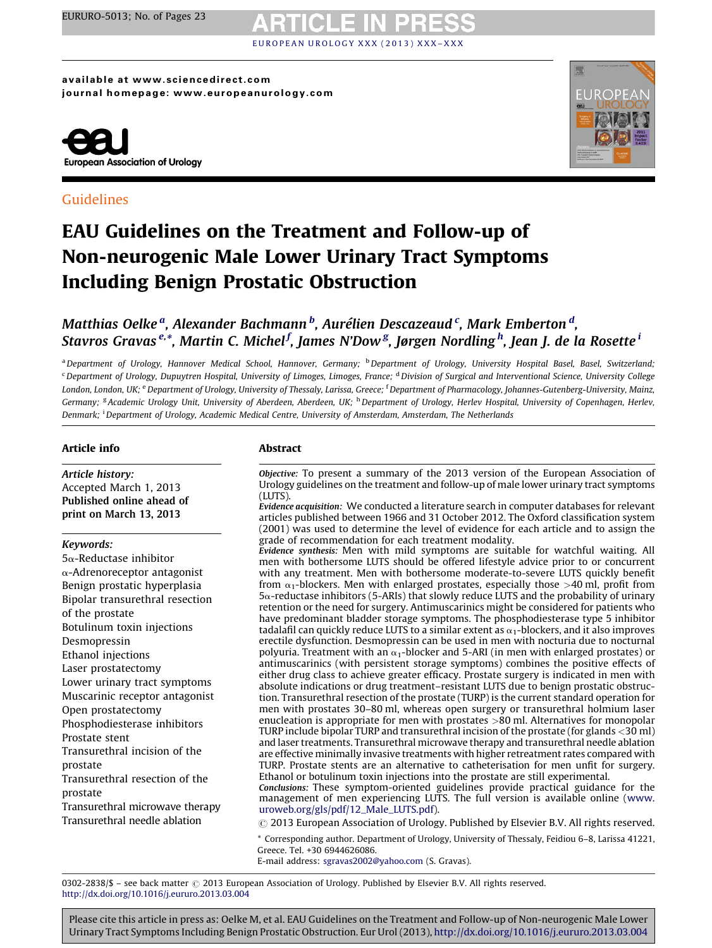## EUROPEA[N](http://dx.doi.org/10.1016/j.eururo.2013.03.004) UROLOGY XXX (2013) XXX-XXX

available at www.sciencedirect.com journal homepage: www.europeanurology.com



## Guidelines

## EAU Guidelines on the Treatment and Follow-up of Non-neurogenic Male Lower Urinary Tract Symptoms Including Benign Prostatic Obstruction

## Matthias Oelke $\ ^a$ , Alexander Bachmann $^b$ , Aurélien Descazeaud $\ ^c$ , Mark Emberton $\ ^d$ , Stavros Gravas <sup>e,</sup>\*, Martin C. Michel <sup>f</sup>, James N'Dow <sup>g</sup>, Jørgen Nordling <sup>h</sup>, Jean J. de la Rosette <sup>i</sup>

<sup>a</sup> Department of Urology, Hannover Medical School, Hannover, Germany; <sup>b</sup> Department of Urology, University Hospital Basel, Basel, Switzerland;  $c$ Department of Urology, Dupuytren Hospital, University of Limoges, Limoges, France;  $d$ Division of Surgical and Interventional Science, University College London, London, UK; <sup>e</sup> Department of Urology, University of Thessaly, Larissa, Greece; <sup>f</sup> Department of Pharmacology, Johannes-Gutenberg-University, Mainz, Germany; <sup>g</sup> Academic Urology Unit, University of Aberdeen, Aberdeen, UK; <sup>h</sup> Department of Urology, Herlev Hospital, University of Copenhagen, Herlev, Denmark; <sup>i</sup> Department of Urology, Academic Medical Centre, University of Amsterdam, Amsterdam, The Netherlands

#### Article info

Article history: Accepted March 1, 2013 Published online ahead of print on March 13, 2013

#### Keywords:

 $5\alpha$ -Reductase inhibitor  $\alpha$ -Adrenoreceptor antagonist Benign prostatic hyperplasia Bipolar transurethral resection of the prostate Botulinum toxin injections Desmopressin Ethanol injections Laser prostatectomy Lower urinary tract symptoms Muscarinic receptor antagonist Open prostatectomy Phosphodiesterase inhibitors Prostate stent Transurethral incision of the prostate Transurethral resection of the prostate Transurethral microwave therapy Transurethral needle ablation

#### Abstract

Objective: To present a summary of the 2013 version of the European Association of Urology guidelines on the treatment and follow-up of male lower urinary tract symptoms  $(LIITS)$ .

Evidence acquisition: We conducted a literature search in computer databases for relevant articles published between 1966 and 31 October 2012. The Oxford classification system (2001) was used to determine the level of evidence for each article and to assign the grade of recommendation for each treatment modality.

Evidence synthesis: Men with mild symptoms are suitable for watchful waiting. All men with bothersome LUTS should be offered lifestyle advice prior to or concurrent with any treatment. Men with bothersome moderate-to-severe LUTS quickly benefit from  $\alpha_1$ -blockers. Men with enlarged prostates, especially those >40 ml, profit from 5a-reductase inhibitors (5-ARIs) that slowly reduce LUTS and the probability of urinary retention or the need for surgery. Antimuscarinics might be considered for patients who have predominant bladder storage symptoms. The phosphodiesterase type 5 inhibitor tadalafil can quickly reduce LUTS to a similar extent as  $\alpha_1$ -blockers, and it also improves erectile dysfunction. Desmopressin can be used in men with nocturia due to nocturnal polyuria. Treatment with an  $\alpha_1$ -blocker and 5-ARI (in men with enlarged prostates) or antimuscarinics (with persistent storage symptoms) combines the positive effects of either drug class to achieve greater efficacy. Prostate surgery is indicated in men with absolute indications or drug treatment–resistant LUTS due to benign prostatic obstruction. Transurethral resection of the prostate (TURP) is the current standard operation for men with prostates 30–80 ml, whereas open surgery or transurethral holmium laser enucleation is appropriate for men with prostates >80 ml. Alternatives for monopolar TURP include bipolar TURP and transurethral incision of the prostate (for glands <30 ml) and laser treatments. Transurethral microwave therapy and transurethral needle ablation are effective minimally invasive treatments with higher retreatment rates compared with TURP. Prostate stents are an alternative to catheterisation for men unfit for surgery. Ethanol or botulinum toxin injections into the prostate are still experimental.

Conclusions: These symptom-oriented guidelines provide practical guidance for the management of men experiencing LUTS. The full version is available online ([www.](http://www.uroweb.org/gls/pdf/12_Male_LUTS.pdf) [uroweb.org/gls/pdf/12\\_Male\\_LUTS.pdf\)](http://www.uroweb.org/gls/pdf/12_Male_LUTS.pdf).

 $\odot$  2013 European Association of Urology. Published by Elsevier B.V. All rights reserved.

\* Corresponding author. Department of Urology, University of Thessaly, Feidiou 6–8, Larissa 41221, Greece. Tel. +30 6944626086.

E-mail address: [sgravas2002@yahoo.com](mailto:sgravas2002@yahoo.com) (S. Gravas).

0302-2838/\$ - see back matter @ 2013 European Association of Urology. Published by Elsevier B.V. All rights reserved. <http://dx.doi.org/10.1016/j.eururo.2013.03.004>

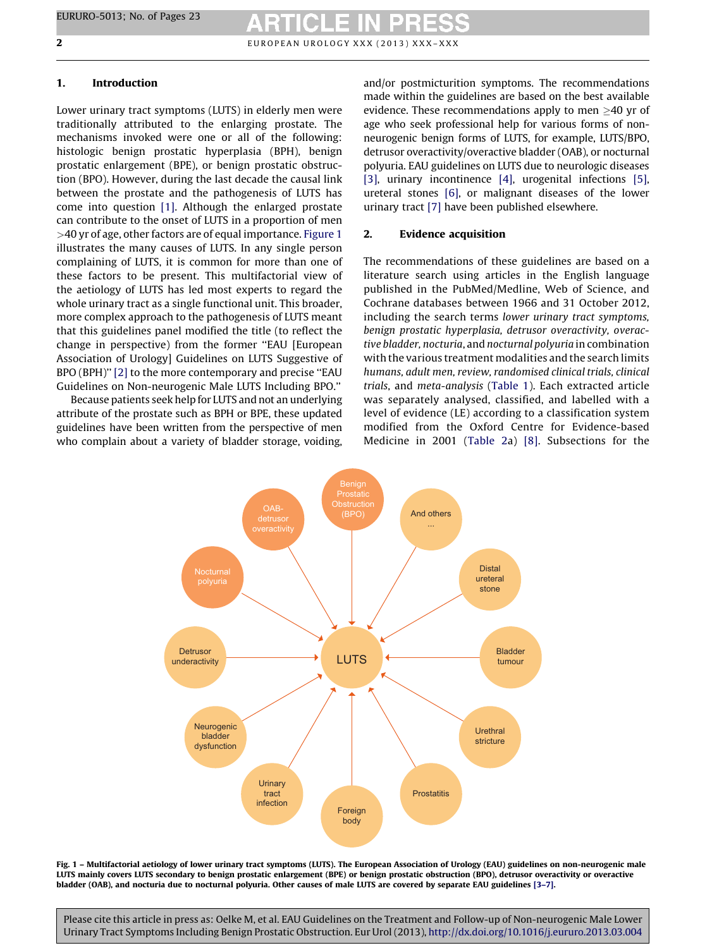#### 1. Introduction

Lower urinary tract symptoms (LUTS) in elderly men were traditionally attributed to the enlarging prostate. The mechanisms invoked were one or all of the following: histologic benign prostatic hyperplasia (BPH), benign prostatic enlargement (BPE), or benign prostatic obstruction (BPO). However, during the last decade the causal link between the prostate and the pathogenesis of LUTS has come into question [\[1\]](#page-17-0). Although the enlarged prostate can contribute to the onset of LUTS in a proportion of men >40 yr of age, other factors are of equal importance. Figure 1 illustrates the many causes of LUTS. In any single person complaining of LUTS, it is common for more than one of these factors to be present. This multifactorial view of the aetiology of LUTS has led most experts to regard the whole urinary tract as a single functional unit. This broader, more complex approach to the pathogenesis of LUTS meant that this guidelines panel modified the title (to reflect the change in perspective) from the former ''EAU [European Association of Urology] Guidelines on LUTS Suggestive of BPO (BPH)'' [\[2\]](#page-17-0) to the more contemporary and precise ''EAU Guidelines on Non-neurogenic Male LUTS Including BPO.''

Because patients seek help for LUTS and not an underlying attribute of the prostate such as BPH or BPE, these updated guidelines have been written from the perspective of men who complain about a variety of bladder storage, voiding,

and/or postmicturition symptoms. The recommendations made within the guidelines are based on the best available evidence. These recommendations apply to men  $\geq$ 40 yr of age who seek professional help for various forms of nonneurogenic benign forms of LUTS, for example, LUTS/BPO, detrusor overactivity/overactive bladder (OAB), or nocturnal polyuria. EAU guidelines on LUTS due to neurologic diseases [\[3\],](#page-18-0) urinary incontinence [\[4\],](#page-18-0) urogenital infections [\[5\]](#page-18-0), ureteral stones [\[6\],](#page-18-0) or malignant diseases of the lower urinary tract [\[7\]](#page-18-0) have been published elsewhere.

#### 2. Evidence acquisition

The recommendations of these guidelines are based on a literature search using articles in the English language published in the PubMed/Medline, Web of Science, and Cochrane databases between 1966 and 31 October 2012, including the search terms lower urinary tract symptoms, benign prostatic hyperplasia, detrusor overactivity, overactive bladder, nocturia, and nocturnal polyuria in combination with the various treatment modalities and the search limits humans, adult men, review, randomised clinical trials, clinical trials, and meta-analysis [\(Table](#page-2-0) 1). Each extracted article was separately analysed, classified, and labelled with a level of evidence (LE) according to a classification system modified from the Oxford Centre for Evidence-based Medicine in 2001 ([Table](#page-2-0) 2a) [\[8\]](#page-18-0). Subsections for the



Fig. 1 – Multifactorial aetiology of lower urinary tract symptoms (LUTS). The European Association of Urology (EAU) guidelines on non-neurogenic male LUTS mainly covers LUTS secondary to benign prostatic enlargement (BPE) or benign prostatic obstruction (BPO), detrusor overactivity or overactive bladder (OAB), and nocturia due to nocturnal polyuria. Other causes of male LUTS are covered by separate EAU guidelines [\[3–7\]](#page-18-0).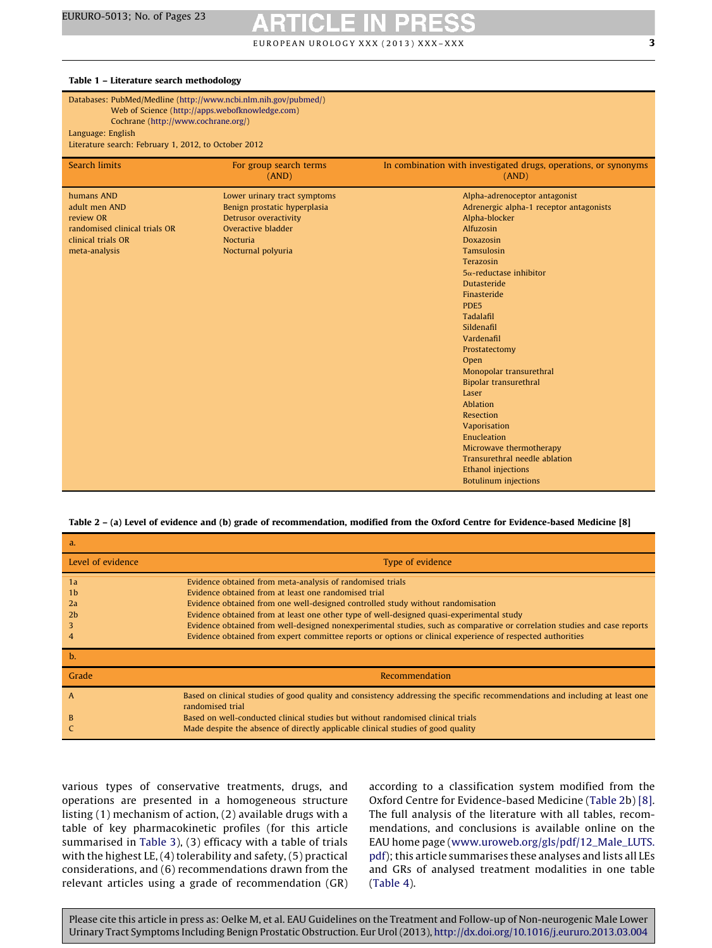#### <span id="page-2-0"></span>Table 1 – Literature search methodology

| Databases: PubMed/Medline (http://www.ncbi.nlm.nih.gov/pubmed/)<br>Cochrane (http://www.cochrane.org/)<br>Language: English<br>Literature search: February 1, 2012, to October 2012 | Web of Science (http://apps.webofknowledge.com)                                                                                                      |                                                                                                                                                                                                                                                                                                                                                                                                                                                                                                                                                            |
|-------------------------------------------------------------------------------------------------------------------------------------------------------------------------------------|------------------------------------------------------------------------------------------------------------------------------------------------------|------------------------------------------------------------------------------------------------------------------------------------------------------------------------------------------------------------------------------------------------------------------------------------------------------------------------------------------------------------------------------------------------------------------------------------------------------------------------------------------------------------------------------------------------------------|
| <b>Search limits</b>                                                                                                                                                                | For group search terms<br>(AND)                                                                                                                      | In combination with investigated drugs, operations, or synonyms<br>(AND)                                                                                                                                                                                                                                                                                                                                                                                                                                                                                   |
| humans AND<br>adult men AND<br>review OR<br>randomised clinical trials OR<br>clinical trials OR<br>meta-analysis                                                                    | Lower urinary tract symptoms<br>Benign prostatic hyperplasia<br>Detrusor overactivity<br>Overactive bladder<br><b>Nocturia</b><br>Nocturnal polyuria | Alpha-adrenoceptor antagonist<br>Adrenergic alpha-1 receptor antagonists<br>Alpha-blocker<br>Alfuzosin<br>Doxazosin<br>Tamsulosin<br>Terazosin<br>$5\alpha$ -reductase inhibitor<br><b>Dutasteride</b><br>Finasteride<br>PDE5<br>Tadalafil<br>Sildenafil<br>Vardenafil<br>Prostatectomy<br>Open<br>Monopolar transurethral<br><b>Bipolar transurethral</b><br>Laser<br><b>Ablation</b><br>Resection<br>Vaporisation<br>Enucleation<br>Microwave thermotherapy<br>Transurethral needle ablation<br><b>Ethanol</b> injections<br><b>Botulinum injections</b> |

Table 2 – (a) Level of evidence and (b) grade of recommendation, modified from the Oxford Centre for Evidence-based Medicine [\[8\]](#page-18-0)

| a.                |                                                                                                                                                  |
|-------------------|--------------------------------------------------------------------------------------------------------------------------------------------------|
| Level of evidence | Type of evidence                                                                                                                                 |
| 1a                | Evidence obtained from meta-analysis of randomised trials                                                                                        |
| 1 <sub>b</sub>    | Evidence obtained from at least one randomised trial                                                                                             |
| 2a                | Evidence obtained from one well-designed controlled study without randomisation                                                                  |
| 2 <sub>b</sub>    | Evidence obtained from at least one other type of well-designed quasi-experimental study                                                         |
| 3                 | Evidence obtained from well-designed nonexperimental studies, such as comparative or correlation studies and case reports                        |
|                   | Evidence obtained from expert committee reports or options or clinical experience of respected authorities                                       |
| b.                |                                                                                                                                                  |
| Grade             | Recommendation                                                                                                                                   |
| $\overline{A}$    | Based on clinical studies of good quality and consistency addressing the specific recommendations and including at least one<br>randomised trial |
| B                 | Based on well-conducted clinical studies but without randomised clinical trials                                                                  |
|                   | Made despite the absence of directly applicable clinical studies of good quality                                                                 |

various types of conservative treatments, drugs, and operations are presented in a homogeneous structure listing (1) mechanism of action, (2) available drugs with a table of key pharmacokinetic profiles (for this article summarised in [Table](#page-3-0) 3), (3) efficacy with a table of trials with the highest LE, (4) tolerability and safety, (5) practical considerations, and (6) recommendations drawn from the relevant articles using a grade of recommendation (GR)

according to a classification system modified from the Oxford Centre for Evidence-based Medicine (Table 2b) [\[8\].](#page-18-0) The full analysis of the literature with all tables, recommendations, and conclusions is available online on the EAU home page ([www.uroweb.org/gls/pdf/12\\_Male\\_LUTS.](http://www.uroweb.org/gls/pdf/12_Male_LUTS.pdf) [pdf\)](http://www.uroweb.org/gls/pdf/12_Male_LUTS.pdf); this article summarises these analyses and lists all LEs and GRs of analysed treatment modalities in one table [\(Table](#page-4-0) 4).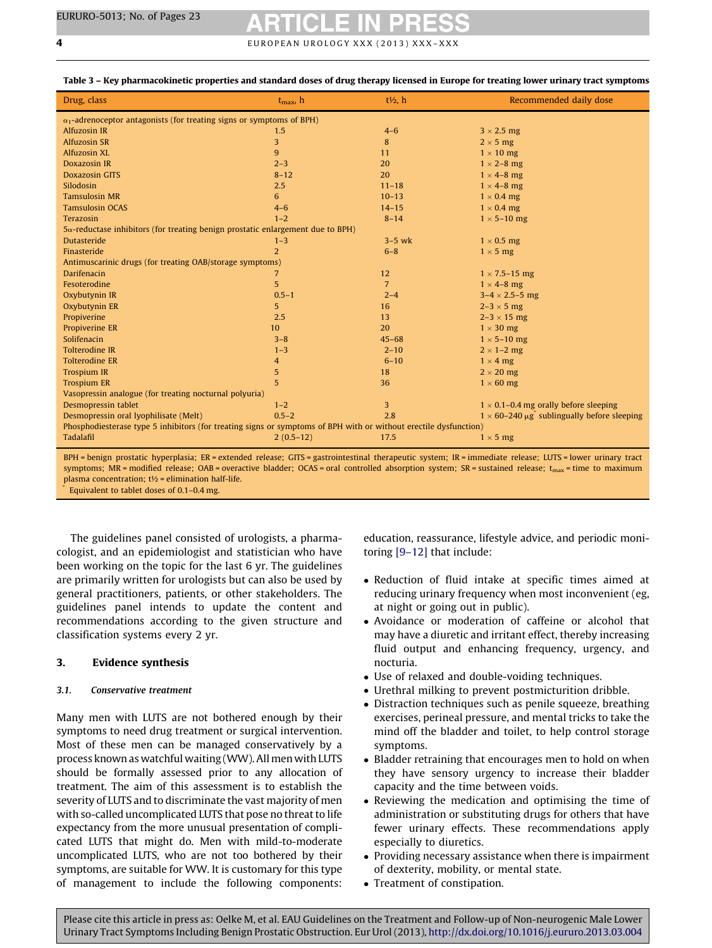<span id="page-3-0"></span>Table 3 – Key pharmacokinetic properties and standard doses of drug therapy licensed in Europe for treating lower urinary tract symptoms

| Drug, class                                                                                                                                                     | $t_{\rm max}$ , h | $t\frac{1}{2}$ , h | Recommended daily dose                                 |  |  |
|-----------------------------------------------------------------------------------------------------------------------------------------------------------------|-------------------|--------------------|--------------------------------------------------------|--|--|
| $\alpha_1$ -adrenoceptor antagonists (for treating signs or symptoms of BPH)                                                                                    |                   |                    |                                                        |  |  |
| Alfuzosin IR                                                                                                                                                    | 1.5               | $4 - 6$            | $3 \times 2.5$ mg                                      |  |  |
| <b>Alfuzosin SR</b>                                                                                                                                             | 3                 | 8                  | $2 \times 5$ mg                                        |  |  |
| Alfuzosin XL                                                                                                                                                    | 9                 | 11                 | $1 \times 10$ mg                                       |  |  |
| Doxazosin IR                                                                                                                                                    | $2 - 3$           | 20                 | $1 \times 2 - 8$ mg                                    |  |  |
| <b>Doxazosin GITS</b>                                                                                                                                           | $8 - 12$          | 20                 | $1 \times 4 - 8$ mg                                    |  |  |
| Silodosin                                                                                                                                                       | 2.5               | $11 - 18$          | $1 \times 4 - 8$ mg                                    |  |  |
| <b>Tamsulosin MR</b>                                                                                                                                            | 6                 | $10 - 13$          | $1 \times 0.4$ mg                                      |  |  |
| <b>Tamsulosin OCAS</b>                                                                                                                                          | $4 - 6$           | $14 - 15$          | $1 \times 0.4$ mg                                      |  |  |
| <b>Terazosin</b>                                                                                                                                                | $1 - 2$           | $8 - 14$           | $1 \times 5 - 10$ mg                                   |  |  |
| $5\alpha$ -reductase inhibitors (for treating benign prostatic enlargement due to BPH)                                                                          |                   |                    |                                                        |  |  |
| Dutasteride                                                                                                                                                     | $1 - 3$           | $3-5$ wk           | $1 \times 0.5$ mg                                      |  |  |
| Finasteride                                                                                                                                                     | $\overline{2}$    | $6 - 8$            | $1 \times 5$ mg                                        |  |  |
| Antimuscarinic drugs (for treating OAB/storage symptoms)                                                                                                        |                   |                    |                                                        |  |  |
| Darifenacin                                                                                                                                                     | 7                 | 12                 | $1 \times 7.5 - 15$ mg                                 |  |  |
| Fesoterodine                                                                                                                                                    | 5                 | $\overline{7}$     | $1 \times 4 - 8$ mg                                    |  |  |
| Oxybutynin IR                                                                                                                                                   | $0.5 - 1$         | $2 - 4$            | $3 - 4 \times 2.5 - 5$ mg                              |  |  |
| Oxybutynin ER                                                                                                                                                   | 5                 | 16                 | $2-3 \times 5$ mg                                      |  |  |
| Propiverine                                                                                                                                                     | 2.5               | 13                 | $2-3 \times 15$ mg                                     |  |  |
| Propiverine ER                                                                                                                                                  | 10                | 20                 | $1 \times 30$ mg                                       |  |  |
| Solifenacin                                                                                                                                                     | $3 - 8$           | $45 - 68$          | $1 \times 5 - 10$ mg                                   |  |  |
| <b>Tolterodine IR</b>                                                                                                                                           | $1 - 3$           | $2 - 10$           | $2 \times 1 - 2$ mg                                    |  |  |
| <b>Tolterodine ER</b>                                                                                                                                           | 4                 | $6 - 10$           | $1 \times 4$ mg                                        |  |  |
| <b>Trospium IR</b>                                                                                                                                              | 5                 | 18                 | $2 \times 20$ mg                                       |  |  |
| <b>Trospium ER</b>                                                                                                                                              | 5                 | 36                 | $1 \times 60$ mg                                       |  |  |
| Vasopressin analogue (for treating nocturnal polyuria)                                                                                                          |                   |                    |                                                        |  |  |
| Desmopressin tablet                                                                                                                                             | $1 - 2$           | 3                  | $1 \times 0.1$ –0.4 mg orally before sleeping          |  |  |
| Desmopressin oral lyophilisate (Melt)                                                                                                                           | $0.5 - 2$         | 2.8                | $1 \times 60 - 240 \mu g$ sublingually before sleeping |  |  |
| Phosphodiesterase type 5 inhibitors (for treating signs or symptoms of BPH with or without erectile dysfunction)                                                |                   |                    |                                                        |  |  |
| Tadalafil                                                                                                                                                       | $2(0.5-12)$       | 17.5               | $1 \times 5$ mg                                        |  |  |
| $RPH =$ benign prostatic hyperplasia: $FR =$ extended release: CITS = gastrointestinal therapeutic system: $IR =$ immediate release: HITS = lower urinary tract |                   |                    |                                                        |  |  |

BPH = benign prostatic hyperplasia; ER = extended release; GITS = gastrointestinal therapeutic system; IR = immediate release; LUTS = lower urinary tract symptoms; MR = modified release; OAB = overactive bladder; OCAS = oral controlled absorption system; SR = sustained release;  $t_{max}$  = time to maximum plasma concentration;  $t\frac{1}{2}$  = elimination half-life.

Equivalent to tablet doses of  $0.1-0.4$  mg.

The guidelines panel consisted of urologists, a pharmacologist, and an epidemiologist and statistician who have been working on the topic for the last 6 yr. The guidelines are primarily written for urologists but can also be used by general practitioners, patients, or other stakeholders. The guidelines panel intends to update the content and recommendations according to the given structure and classification systems every 2 yr.

#### 3. Evidence synthesis

#### 3.1. Conservative treatment

Many men with LUTS are not bothered enough by their symptoms to need drug treatment or surgical intervention. Most of these men can be managed conservatively by a process known as watchful waiting (WW). All men with LUTS should be formally assessed prior to any allocation of treatment. The aim of this assessment is to establish the severity of LUTS and to discriminate the vast majority of men with so-called uncomplicated LUTS that pose no threat to life expectancy from the more unusual presentation of complicated LUTS that might do. Men with mild-to-moderate uncomplicated LUTS, who are not too bothered by their symptoms, are suitable for WW. It is customary for this type of management to include the following components:

education, reassurance, lifestyle advice, and periodic monitoring [\[9–12\]](#page-18-0) that include:

- Reduction of fluid intake at specific times aimed at reducing urinary frequency when most inconvenient (eg, at night or going out in public).
- Avoidance or moderation of caffeine or alcohol that may have a diuretic and irritant effect, thereby increasing fluid output and enhancing frequency, urgency, and nocturia.
- Use of relaxed and double-voiding techniques.
- Urethral milking to prevent postmicturition dribble.
- Distraction techniques such as penile squeeze, breathing exercises, perineal pressure, and mental tricks to take the mind off the bladder and toilet, to help control storage symptoms.
- Bladder retraining that encourages men to hold on when they have sensory urgency to increase their bladder capacity and the time between voids.
- Reviewing the medication and optimising the time of administration or substituting drugs for others that have fewer urinary effects. These recommendations apply especially to diuretics.
- Providing necessary assistance when there is impairment of dexterity, mobility, or mental state.
- Treatment of constipation.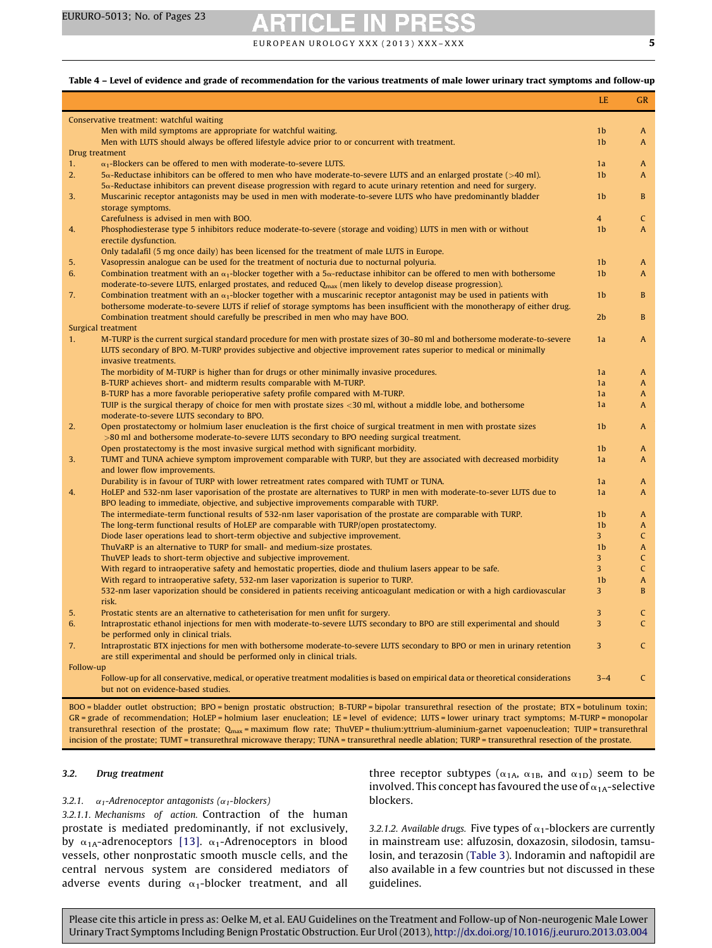E U RO PEAN UROLOGY XXX (2013) XXX-XXX SALE AND THE CONSTRUCTED A NORTH THE CONSTRUCTION OF THE CONSTRUCTION OF THE CONSTRUCTION OF THE CONSTRUCTION OF THE CONSTRUCTION OF THE CONSTRUCTION OF THE CONSTRUCTION OF THE CONSTR

#### <span id="page-4-0"></span>Table 4 – Level of evidence and grade of recommendation for the various treatments of male lower urinary tract symptoms and follow-up

|           |                                                                                                                                                                                                                                      | LE                  | <b>GR</b>         |
|-----------|--------------------------------------------------------------------------------------------------------------------------------------------------------------------------------------------------------------------------------------|---------------------|-------------------|
|           | Conservative treatment: watchful waiting                                                                                                                                                                                             |                     |                   |
|           | Men with mild symptoms are appropriate for watchful waiting.                                                                                                                                                                         | 1 <sub>b</sub>      | A                 |
|           | Men with LUTS should always be offered lifestyle advice prior to or concurrent with treatment.                                                                                                                                       | 1 <sub>b</sub>      | $\mathsf{A}$      |
|           | Drug treatment                                                                                                                                                                                                                       |                     |                   |
| 1.        | $\alpha_1$ -Blockers can be offered to men with moderate-to-severe LUTS.                                                                                                                                                             | 1a                  | A                 |
| 2.        | $5\alpha$ -Reductase inhibitors can be offered to men who have moderate-to-severe LUTS and an enlarged prostate (>40 ml).                                                                                                            | 1b                  | $\mathsf{A}$      |
|           | $5\alpha$ -Reductase inhibitors can prevent disease progression with regard to acute urinary retention and need for surgery.                                                                                                         |                     |                   |
| 3.        | Muscarinic receptor antagonists may be used in men with moderate-to-severe LUTS who have predominantly bladder                                                                                                                       | 1 <sub>b</sub>      | $\, {\bf B}$      |
|           | storage symptoms.                                                                                                                                                                                                                    |                     |                   |
|           | Carefulness is advised in men with BOO.                                                                                                                                                                                              | 4                   | C                 |
| 4.        | Phosphodiesterase type 5 inhibitors reduce moderate-to-severe (storage and voiding) LUTS in men with or without                                                                                                                      | 1 <sub>b</sub>      | A                 |
|           | erectile dysfunction.                                                                                                                                                                                                                |                     |                   |
|           | Only tadalafil (5 mg once daily) has been licensed for the treatment of male LUTS in Europe.                                                                                                                                         | 1 <sub>b</sub>      | A                 |
| 5.<br>6.  | Vasopressin analogue can be used for the treatment of nocturia due to nocturnal polyuria.<br>Combination treatment with an $\alpha_1$ -blocker together with a 5 $\alpha$ -reductase inhibitor can be offered to men with bothersome | 1 <sub>b</sub>      | A                 |
|           | moderate-to-severe LUTS, enlarged prostates, and reduced $Q_{\text{max}}$ (men likely to develop disease progression).                                                                                                               |                     |                   |
| 7.        | Combination treatment with an $\alpha_1$ -blocker together with a muscarinic receptor antagonist may be used in patients with                                                                                                        | 1 <sub>b</sub>      | B                 |
|           | bothersome moderate-to-severe LUTS if relief of storage symptoms has been insufficient with the monotherapy of either drug.                                                                                                          |                     |                   |
|           | Combination treatment should carefully be prescribed in men who may have BOO.                                                                                                                                                        | 2 <sub>b</sub>      | B                 |
|           | Surgical treatment                                                                                                                                                                                                                   |                     |                   |
| 1.        | M-TURP is the current surgical standard procedure for men with prostate sizes of 30–80 ml and bothersome moderate-to-severe                                                                                                          | 1a                  | $\mathsf{A}$      |
|           | LUTS secondary of BPO. M-TURP provides subjective and objective improvement rates superior to medical or minimally                                                                                                                   |                     |                   |
|           | invasive treatments.                                                                                                                                                                                                                 |                     |                   |
|           | The morbidity of M-TURP is higher than for drugs or other minimally invasive procedures.                                                                                                                                             | 1a                  | A                 |
|           | B-TURP achieves short- and midterm results comparable with M-TURP.                                                                                                                                                                   | 1a                  | $\mathsf{A}$      |
|           | B-TURP has a more favorable perioperative safety profile compared with M-TURP.                                                                                                                                                       | 1a                  | A                 |
|           | TUIP is the surgical therapy of choice for men with prostate sizes <30 ml, without a middle lobe, and bothersome                                                                                                                     | 1a                  | A                 |
|           | moderate-to-severe LUTS secondary to BPO.                                                                                                                                                                                            |                     |                   |
| 2.        | Open prostatectomy or holmium laser enucleation is the first choice of surgical treatment in men with prostate sizes                                                                                                                 | 1 <sub>b</sub>      | A                 |
|           | $>$ 80 ml and bothersome moderate-to-severe LUTS secondary to BPO needing surgical treatment.                                                                                                                                        |                     |                   |
|           | Open prostatectomy is the most invasive surgical method with significant morbidity.                                                                                                                                                  | 1 <sub>b</sub>      | A                 |
| 3.        | TUMT and TUNA achieve symptom improvement comparable with TURP, but they are associated with decreased morbidity                                                                                                                     | 1a                  | A                 |
|           | and lower flow improvements.                                                                                                                                                                                                         |                     |                   |
|           | Durability is in favour of TURP with lower retreatment rates compared with TUMT or TUNA.                                                                                                                                             | 1a                  | A                 |
| 4.        | HoLEP and 532-nm laser vaporisation of the prostate are alternatives to TURP in men with moderate-to-sever LUTS due to                                                                                                               | 1a                  | A                 |
|           | BPO leading to immediate, objective, and subjective improvements comparable with TURP.                                                                                                                                               |                     |                   |
|           | The intermediate-term functional results of 532-nm laser vaporisation of the prostate are comparable with TURP.                                                                                                                      | 1 <sub>b</sub>      | A                 |
|           | The long-term functional results of HoLEP are comparable with TURP/open prostatectomy.                                                                                                                                               | 1 <sub>b</sub>      | A                 |
|           | Diode laser operations lead to short-term objective and subjective improvement.<br>ThuVaRP is an alternative to TURP for small- and medium-size prostates.                                                                           | 3<br>1 <sub>b</sub> | $\mathsf{C}$<br>A |
|           | ThuVEP leads to short-term objective and subjective improvement.                                                                                                                                                                     | 3                   | $\mathsf C$       |
|           | With regard to intraoperative safety and hemostatic properties, diode and thulium lasers appear to be safe.                                                                                                                          | 3                   | $\mathsf C$       |
|           | With regard to intraoperative safety, 532-nm laser vaporization is superior to TURP.                                                                                                                                                 | 1 <sub>b</sub>      | A                 |
|           | 532-nm laser vaporization should be considered in patients receiving anticoagulant medication or with a high cardiovascular                                                                                                          | 3                   | $\, {\bf B}$      |
|           | risk.                                                                                                                                                                                                                                |                     |                   |
| 5.        | Prostatic stents are an alternative to catheterisation for men unfit for surgery.                                                                                                                                                    | 3                   | C                 |
| 6.        | Intraprostatic ethanol injections for men with moderate-to-severe LUTS secondary to BPO are still experimental and should                                                                                                            | 3                   | $\mathsf{C}$      |
|           | be performed only in clinical trials.                                                                                                                                                                                                |                     |                   |
| 7.        | Intraprostatic BTX injections for men with bothersome moderate-to-severe LUTS secondary to BPO or men in urinary retention                                                                                                           | 3                   | C                 |
|           | are still experimental and should be performed only in clinical trials.                                                                                                                                                              |                     |                   |
| Follow-up |                                                                                                                                                                                                                                      |                     |                   |
|           | Follow-up for all conservative, medical, or operative treatment modalities is based on empirical data or theoretical considerations                                                                                                  | $3 - 4$             | $\mathsf{C}$      |
|           | but not on evidence-based studies.                                                                                                                                                                                                   |                     |                   |
|           | BOO = bladder outlet obstruction; BPO = benign prostatic obstruction; B-TURP = bipolar transurethral resection of the prostate; BTX = botulinum toxin;                                                                               |                     |                   |
|           | $GR =$ grade of recommendation; HoLEP = holmium laser enucleation; LE = level of evidence; LUTS = lower urinary tract symptoms; M-TURP = monopolar                                                                                   |                     |                   |

#### 3.2. Drug treatment

#### 3.2.1.  $\alpha_1$ -Adrenoceptor antagonists ( $\alpha_1$ -blockers)

3.2.1.1. Mechanisms of action. Contraction of the human prostate is mediated predominantly, if not exclusively, by  $\alpha_{1A}$ -adrenoceptors [\[13\]](#page-18-0).  $\alpha_1$ -Adrenoceptors in blood vessels, other nonprostatic smooth muscle cells, and the central nervous system are considered mediators of adverse events during  $\alpha_1$ -blocker treatment, and all

three receptor subtypes ( $\alpha_{1A}$ ,  $\alpha_{1B}$ , and  $\alpha_{1D}$ ) seem to be involved. This concept has favoured the use of  $\alpha_{1A}$ -selective blockers.

3.2.1.2. Available drugs. Five types of  $\alpha_1$ -blockers are currently in mainstream use: alfuzosin, doxazosin, silodosin, tamsulosin, and terazosin ([Table](#page-3-0) 3). Indoramin and naftopidil are also available in a few countries but not discussed in these guidelines.

Please cite this article in press as: Oelke M, et al. EAU Guidelines on the Treatment and Follow-up of Non-neurogenic Male Lower Urinary Tract Symptoms Including Benign Prostatic Obstruction. Eur Urol (2013), <http://dx.doi.org/10.1016/j.eururo.2013.03.004>

transurethral resection of the prostate; Q<sub>max</sub> = maximum flow rate; ThuVEP = thulium:yttrium-aluminium-garnet vapoenucleation; TUIP = transurethral incision of the prostate; TUMT = transurethral microwave therapy; TUNA = transurethral needle ablation; TURP = transurethral resection of the prostate.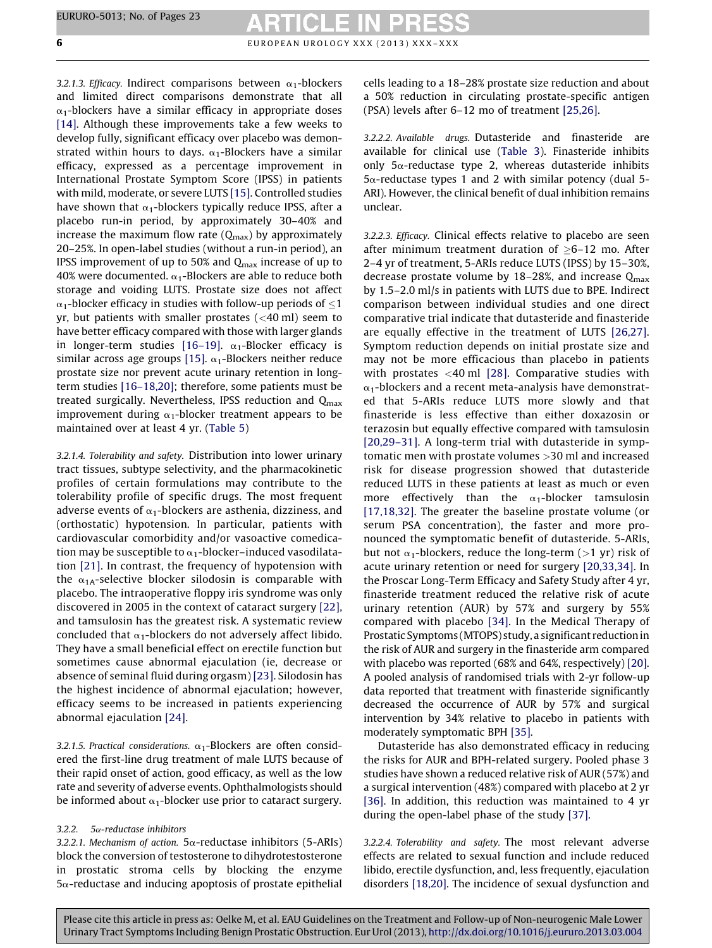3.2.1.3. Efficacy. Indirect comparisons between  $\alpha_1$ -blockers and limited direct comparisons demonstrate that all  $\alpha_1$ -blockers have a similar efficacy in appropriate doses [\[14\].](#page-18-0) Although these improvements take a few weeks to develop fully, significant efficacy over placebo was demonstrated within hours to days.  $\alpha_1$ -Blockers have a similar efficacy, expressed as a percentage improvement in International Prostate Symptom Score (IPSS) in patients with mild, moderate, or severe LUTS [\[15\]](#page-18-0). Controlled studies have shown that  $\alpha_1$ -blockers typically reduce IPSS, after a placebo run-in period, by approximately 30–40% and increase the maximum flow rate  $(Q<sub>max</sub>)$  by approximately 20–25%. In open-label studies (without a run-in period), an IPSS improvement of up to 50% and  $Q<sub>max</sub>$  increase of up to 40% were documented.  $\alpha_1$ -Blockers are able to reduce both storage and voiding LUTS. Prostate size does not affect  $\alpha_1$ -blocker efficacy in studies with follow-up periods of <1 yr, but patients with smaller prostates  $( $40 \text{ ml}$ )$  seem to have better efficacy compared with those with larger glands in longer-term studies [16-19].  $\alpha_1$ -Blocker efficacy is similar across age groups [\[15\]](#page-18-0).  $\alpha_1$ -Blockers neither reduce prostate size nor prevent acute urinary retention in longterm studies [\[16–18,20\]](#page-18-0); therefore, some patients must be treated surgically. Nevertheless, IPSS reduction and  $Q<sub>max</sub>$ improvement during  $\alpha_1$ -blocker treatment appears to be maintained over at least 4 yr. [\(Table](#page-6-0) 5)

3.2.1.4. Tolerability and safety. Distribution into lower urinary tract tissues, subtype selectivity, and the pharmacokinetic profiles of certain formulations may contribute to the tolerability profile of specific drugs. The most frequent adverse events of  $\alpha_1$ -blockers are asthenia, dizziness, and (orthostatic) hypotension. In particular, patients with cardiovascular comorbidity and/or vasoactive comedication may be susceptible to  $\alpha_1$ -blocker–induced vasodilatation [\[21\]](#page-18-0). In contrast, the frequency of hypotension with the  $\alpha_{1A}$ -selective blocker silodosin is comparable with placebo. The intraoperative floppy iris syndrome was only discovered in 2005 in the context of cataract surgery [\[22\]](#page-18-0), and tamsulosin has the greatest risk. A systematic review concluded that  $\alpha_1$ -blockers do not adversely affect libido. They have a small beneficial effect on erectile function but sometimes cause abnormal ejaculation (ie, decrease or absence of seminal fluid during orgasm) [\[23\].](#page-18-0) Silodosin has the highest incidence of abnormal ejaculation; however, efficacy seems to be increased in patients experiencing abnormal ejaculation [\[24\]](#page-18-0).

3.2.1.5. Practical considerations.  $\alpha_1$ -Blockers are often considered the first-line drug treatment of male LUTS because of their rapid onset of action, good efficacy, as well as the low rate and severity of adverse events. Ophthalmologists should be informed about  $\alpha_1$ -blocker use prior to cataract surgery.

#### 3.2.2. 5 $\alpha$ -reductase inhibitors

3.2.2.1. Mechanism of action.  $5\alpha$ -reductase inhibitors (5-ARIs) block the conversion of testosterone to dihydrotestosterone in prostatic stroma cells by blocking the enzyme  $5\alpha$ -reductase and inducing apoptosis of prostate epithelial cells leading to a 18–28% prostate size reduction and about a 50% reduction in circulating prostate-specific antigen (PSA) levels after 6–12 mo of treatment [\[25,26\]](#page-18-0).

3.2.2.2. Available drugs. Dutasteride and finasteride are available for clinical use ([Table](#page-3-0) 3). Finasteride inhibits only  $5\alpha$ -reductase type 2, whereas dutasteride inhibits  $5\alpha$ -reductase types 1 and 2 with similar potency (dual 5-ARI). However, the clinical benefit of dual inhibition remains unclear.

3.2.2.3. Efficacy. Clinical effects relative to placebo are seen after minimum treatment duration of  $\geq$ 6–12 mo. After 2–4 yr of treatment, 5-ARIs reduce LUTS (IPSS) by 15–30%, decrease prostate volume by 18–28%, and increase  $Q_{\text{max}}$ by 1.5–2.0 ml/s in patients with LUTS due to BPE. Indirect comparison between individual studies and one direct comparative trial indicate that dutasteride and finasteride are equally effective in the treatment of LUTS [\[26,27\]](#page-18-0). Symptom reduction depends on initial prostate size and may not be more efficacious than placebo in patients with prostates <40 ml [\[28\]](#page-18-0). Comparative studies with  $\alpha_1$ -blockers and a recent meta-analysis have demonstrated that 5-ARIs reduce LUTS more slowly and that finasteride is less effective than either doxazosin or terazosin but equally effective compared with tamsulosin [\[20,29–31\].](#page-18-0) A long-term trial with dutasteride in symptomatic men with prostate volumes >30 ml and increased risk for disease progression showed that dutasteride reduced LUTS in these patients at least as much or even more effectively than the  $\alpha_1$ -blocker tamsulosin [\[17,18,32\].](#page-18-0) The greater the baseline prostate volume (or serum PSA concentration), the faster and more pronounced the symptomatic benefit of dutasteride. 5-ARIs, but not  $\alpha_1$ -blockers, reduce the long-term (>1 yr) risk of acute urinary retention or need for surgery [\[20,33,34\]](#page-18-0). In the Proscar Long-Term Efficacy and Safety Study after 4 yr, finasteride treatment reduced the relative risk of acute urinary retention (AUR) by 57% and surgery by 55% compared with placebo [\[34\]](#page-18-0). In the Medical Therapy of Prostatic Symptoms (MTOPS) study, a significant reductionin the risk of AUR and surgery in the finasteride arm compared with placebo was reported (68% and 64%, respectively) [\[20\]](#page-18-0). A pooled analysis of randomised trials with 2-yr follow-up data reported that treatment with finasteride significantly decreased the occurrence of AUR by 57% and surgical intervention by 34% relative to placebo in patients with moderately symptomatic BPH [\[35\].](#page-18-0)

Dutasteride has also demonstrated efficacy in reducing the risks for AUR and BPH-related surgery. Pooled phase 3 studies have shown a reduced relative risk of AUR (57%) and a surgical intervention (48%) compared with placebo at 2 yr [\[36\].](#page-18-0) In addition, this reduction was maintained to 4 yr during the open-label phase of the study [\[37\]](#page-18-0).

3.2.2.4. Tolerability and safety. The most relevant adverse effects are related to sexual function and include reduced libido, erectile dysfunction, and, less frequently, ejaculation disorders [\[18,20\].](#page-18-0) The incidence of sexual dysfunction and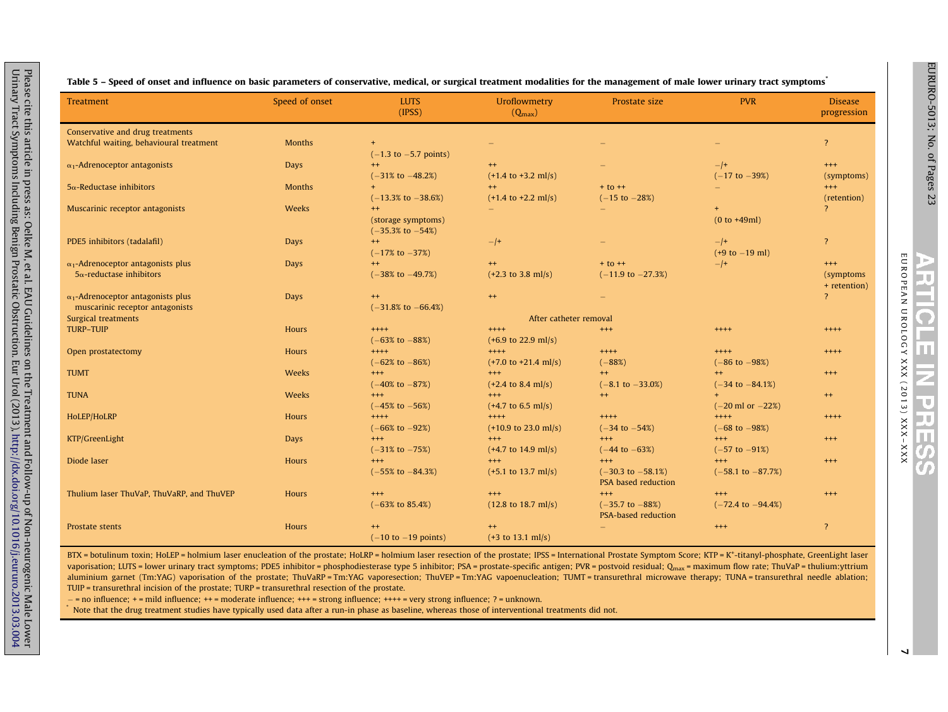| EURURO-501     |  |
|----------------|--|
|                |  |
| 13; No.        |  |
| $\overline{a}$ |  |
| Pages          |  |
| n<br>23        |  |

| Treatment                                 | Speed of onset | <b>LUTS</b><br>(IPSS)                    | Uroflowmetry<br>(Q <sub>max</sub> )     | Prostate size                                        | <b>PVR</b>                        | <b>Disease</b><br>progression |
|-------------------------------------------|----------------|------------------------------------------|-----------------------------------------|------------------------------------------------------|-----------------------------------|-------------------------------|
| Conservative and drug treatments          |                |                                          |                                         |                                                      |                                   |                               |
| Watchful waiting, behavioural treatment   | <b>Months</b>  | $+$                                      |                                         |                                                      |                                   | $\overline{?}$                |
|                                           |                | $(-1.3 \text{ to } -5.7 \text{ points})$ |                                         |                                                      |                                   |                               |
| $\alpha_1$ -Adrenoceptor antagonists      | <b>Days</b>    | $^{++}$                                  | $^{++}$                                 |                                                      | $-$ /+                            | $^{+++}$                      |
|                                           |                | $(-31\% \text{ to } -48.2\%)$            | $(+1.4 \text{ to } +3.2 \text{ ml/s})$  |                                                      | $(-17 \text{ to } -39\%)$         | (symptoms)                    |
| $5\alpha$ -Reductase inhibitors           | <b>Months</b>  |                                          | $^{++}$                                 | $+$ to $++$                                          |                                   | $^{+++}$                      |
|                                           |                | $(-13.3\% \text{ to } -38.6\%)$          | $(+1.4 \text{ to } +2.2 \text{ ml/s})$  | $(-15 \text{ to } -28\%)$                            |                                   | (retention)                   |
| Muscarinic receptor antagonists           | Weeks          | $++$                                     |                                         |                                                      | $\ddot{}$                         |                               |
|                                           |                | (storage symptoms)<br>$(-35.3% to -54%)$ |                                         |                                                      | $(0 to +49ml)$                    |                               |
| PDE5 inhibitors (tadalafil)               | <b>Days</b>    | $++$                                     | $-1$ +                                  |                                                      | $-$ /+                            | $\overline{?}$                |
|                                           |                | $(-17\% \text{ to } -37\%)$              |                                         |                                                      | $(+9 \text{ to } -19 \text{ ml})$ |                               |
| $\alpha_1$ -Adrenoceptor antagonists plus | <b>Days</b>    | $^{++}$                                  | $^{++}$                                 | $+$ to $++$                                          | $-$ /+                            | $^{+++}$                      |
| $5\alpha$ -reductase inhibitors           |                | $(-38% to -49.7%)$                       | $(+2.3 \text{ to } 3.8 \text{ ml/s})$   | $(-11.9 \text{ to } -27.3%)$                         |                                   | (symptoms                     |
|                                           |                |                                          |                                         |                                                      |                                   | + retention)                  |
| $\alpha_1$ -Adrenoceptor antagonists plus | <b>Days</b>    | $^{++}$                                  | $^{++}$                                 |                                                      |                                   | $\overline{?}$                |
| muscarinic receptor antagonists           |                | $(-31.8\% \text{ to } -66.4\%)$          |                                         |                                                      |                                   |                               |
| <b>Surgical treatments</b>                |                |                                          | After catheter removal                  |                                                      |                                   |                               |
| <b>TURP-TUIP</b>                          | Hours          | $++++$                                   | $++++$                                  | $^{+++}$                                             | $++++$                            | $++++$                        |
|                                           |                | $(-63% to -88%)$                         | $(+6.9 \text{ to } 22.9 \text{ ml/s})$  |                                                      |                                   |                               |
| Open prostatectomy                        | Hours          | $++++$                                   | $++++$                                  | $++++$                                               | $++++$                            | $++++$                        |
|                                           |                | $(-62\% \text{ to } -86\%)$              | $(+7.0 \text{ to } +21.4 \text{ ml/s})$ | $(-88%)$                                             | $(-86 \text{ to } -98%)$          |                               |
| <b>TUMT</b>                               | Weeks          | $^{+++}$                                 | $^{+++}$                                | $^{++}$                                              | $^{++}$                           | $^{+++}$                      |
|                                           |                | $(-40\% \text{ to } -87\%)$              | $(+2.4 \text{ to } 8.4 \text{ ml/s})$   | $(-8.1 \text{ to } -33.0\%)$                         | $(-34 \text{ to } -84.1\%)$       |                               |
| <b>TUNA</b>                               | Weeks          | $^{+++}$                                 | $^{+++}$                                | $^{++}$                                              | $\ddot{+}$                        | $^{++}$                       |
|                                           |                | $(-45\% \text{ to } -56\%)$              | $(+4.7 \text{ to } 6.5 \text{ ml/s})$   |                                                      | $(-20 \text{ ml or } -22\%)$      |                               |
| HoLEP/HoLRP                               | Hours          | $++++$                                   | $++++$                                  | $++++$                                               | $++++$                            | $++++$                        |
|                                           |                | $(-66% to -92%)$                         | $(+10.9 \text{ to } 23.0 \text{ ml/s})$ | $(-34 \text{ to } -54\%)$                            | $(-68 \text{ to } -98%)$          |                               |
| KTP/GreenLight                            | <b>Days</b>    | $^{+++}$                                 | $^{+++}$                                | $^{+++}$                                             | $^{+++}$                          | $^{+++}$                      |
|                                           |                | $(-31\% \text{ to } -75\%)$              | $(+4.7 \text{ to } 14.9 \text{ ml/s})$  | $(-44 \text{ to } -63%)$                             | $(-57 \text{ to } -91\%)$         |                               |
| Diode laser                               | <b>Hours</b>   | $^{+++}$                                 | $+++$                                   | $+++$                                                | $^{+++}$                          | $^{+++}$                      |
|                                           |                | $(-55\% \text{ to } -84.3\%)$            | $(+5.1 \text{ to } 13.7 \text{ ml/s})$  | $(-30.3 \text{ to } -58.1\%)$<br>PSA based reduction | $(-58.1 \text{ to } -87.7\%)$     |                               |
| Thulium laser ThuVaP, ThuVaRP, and ThuVEP | Hours          | $^{+++}$                                 | $^{+++}$                                | $^{+++}$                                             | $^{+++}$                          | $^{+++}$                      |
|                                           |                | $(-63\% \text{ to } 85.4\%)$             | $(12.8 \text{ to } 18.7 \text{ ml/s})$  | $(-35.7 \text{ to } -88%)$                           | $(-72.4 \text{ to } -94.4\%)$     |                               |
|                                           |                |                                          |                                         | PSA-based reduction                                  |                                   |                               |
| Prostate stents                           | Hours          | $^{++}$                                  | $++$                                    |                                                      | $^{+++}$                          | $\overline{?}$                |
|                                           |                | $(-10 \text{ to } -19 \text{ points})$   | $(+3 \text{ to } 13.1 \text{ ml/s})$    |                                                      |                                   |                               |

Table 5 – Speed of onset and influence on basic parameters of conservative, medical, or surgical treatment modalities for the management of male lower urinary tract symptoms<sup>\*</sup>

BTX = botulinum toxin; HoLEP = holmium laser enucleation of the prostate; HoLRP = holmium laser resection of the prostate; IPSS = International Prostate Symptom Score; KTP = K<sup>+</sup>-titanyl-phosphate, GreenLight laser vaporisation; LUTS = lower urinary tract symptoms; PDE5 inhibitor = phosphodiesterase type 5 inhibitor; PSA = prostate-specific antigen; PVR = postvoid residual; Q<sub>max</sub> = maximum flow rate; ThuVaP = thulium:yttrium aluminium garnet (Tm:YAG) vaporisation of the prostate; ThuVaRP = Tm:YAG vaporesection; ThuVEP = Tm:YAG vapoenucleation; TUMT = transurethral microwave therapy; TUNA = transurethral needle ablation; TUIP <sup>=</sup> transurethral incision of the prostate; TURP <sup>=</sup> transurethral resection of the prostate.

 $-$  = no influence;  $+$  = mild influence;  $++$  = moderate influence;  $+++$  = strong influence;  $+++$  = very strong influence;  $?$  = unknown.

Please

<span id="page-6-0"></span>Urinary

Tract

Symptoms

Including

Benign

Prostatic

Obstruction.

Eur Urol

(2013),

cite this

article in press as: Oelke M, et al. EAU

Guidelines

on the

Treatment

and

Follow-up

of

Non-neurogenic

<http://dx.doi.org/10.1016/j.eururo.2013.03.004>

Male

Lower

Note that the drug treatment studies have typically used data after <sup>a</sup> run-in phase as baseline, whereas those of interventional treatments did not.

 $\overline{\phantom{0}}$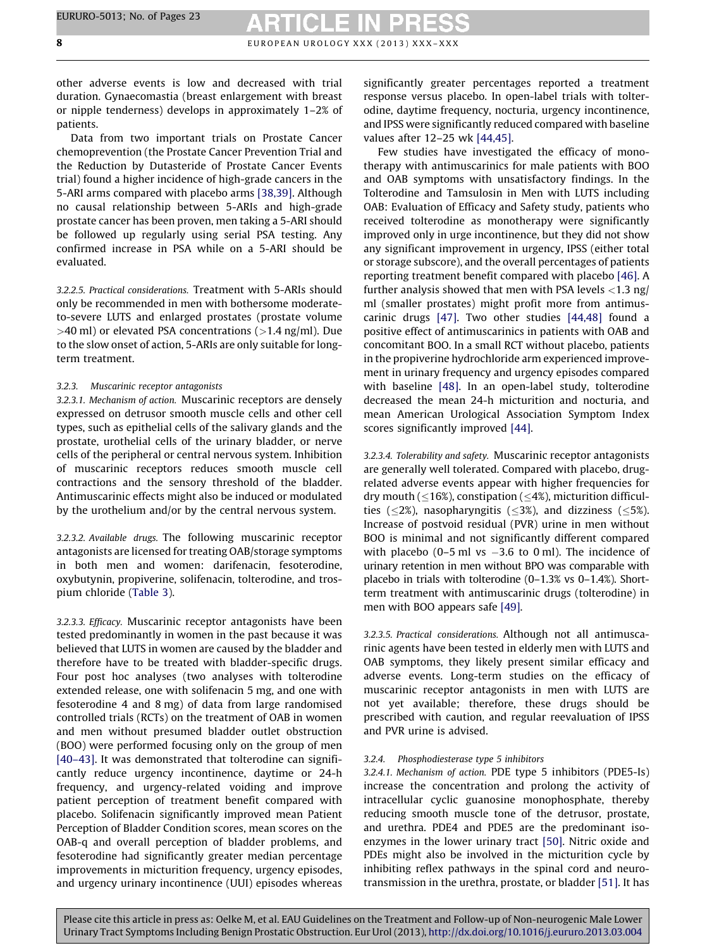other adverse events is low and decreased with trial duration. Gynaecomastia (breast enlargement with breast or nipple tenderness) develops in approximately 1–2% of patients.

Data from two important trials on Prostate Cancer chemoprevention (the Prostate Cancer Prevention Trial and the Reduction by Dutasteride of Prostate Cancer Events trial) found a higher incidence of high-grade cancers in the 5-ARI arms compared with placebo arms [\[38,39\]](#page-18-0). Although no causal relationship between 5-ARIs and high-grade prostate cancer has been proven, men taking a 5-ARI should be followed up regularly using serial PSA testing. Any confirmed increase in PSA while on a 5-ARI should be evaluated.

3.2.2.5. Practical considerations. Treatment with 5-ARIs should only be recommended in men with bothersome moderateto-severe LUTS and enlarged prostates (prostate volume  $>40$  ml) or elevated PSA concentrations ( $>1.4$  ng/ml). Due to the slow onset of action, 5-ARIs are only suitable for longterm treatment.

### 3.2.3. Muscarinic receptor antagonists

3.2.3.1. Mechanism of action. Muscarinic receptors are densely expressed on detrusor smooth muscle cells and other cell types, such as epithelial cells of the salivary glands and the prostate, urothelial cells of the urinary bladder, or nerve cells of the peripheral or central nervous system. Inhibition of muscarinic receptors reduces smooth muscle cell contractions and the sensory threshold of the bladder. Antimuscarinic effects might also be induced or modulated by the urothelium and/or by the central nervous system.

3.2.3.2. Available drugs. The following muscarinic receptor antagonists are licensed for treating OAB/storage symptoms in both men and women: darifenacin, fesoterodine, oxybutynin, propiverine, solifenacin, tolterodine, and trospium chloride ([Table](#page-3-0) 3).

3.2.3.3. Efficacy. Muscarinic receptor antagonists have been tested predominantly in women in the past because it was believed that LUTS in women are caused by the bladder and therefore have to be treated with bladder-specific drugs. Four post hoc analyses (two analyses with tolterodine extended release, one with solifenacin 5 mg, and one with fesoterodine 4 and 8 mg) of data from large randomised controlled trials (RCTs) on the treatment of OAB in women and men without presumed bladder outlet obstruction (BOO) were performed focusing only on the group of men [\[40–43\]](#page-19-0). It was demonstrated that tolterodine can significantly reduce urgency incontinence, daytime or 24-h frequency, and urgency-related voiding and improve patient perception of treatment benefit compared with placebo. Solifenacin significantly improved mean Patient Perception of Bladder Condition scores, mean scores on the OAB-q and overall perception of bladder problems, and fesoterodine had significantly greater median percentage improvements in micturition frequency, urgency episodes, and urgency urinary incontinence (UUI) episodes whereas

significantly greater percentages reported a treatment response versus placebo. In open-label trials with tolterodine, daytime frequency, nocturia, urgency incontinence, and IPSS were significantly reduced compared with baseline values after 12–25 wk [\[44,45\].](#page-19-0)

Few studies have investigated the efficacy of monotherapy with antimuscarinics for male patients with BOO and OAB symptoms with unsatisfactory findings. In the Tolterodine and Tamsulosin in Men with LUTS including OAB: Evaluation of Efficacy and Safety study, patients who received tolterodine as monotherapy were significantly improved only in urge incontinence, but they did not show any significant improvement in urgency, IPSS (either total or storage subscore), and the overall percentages of patients reporting treatment benefit compared with placebo [\[46\]](#page-19-0). A further analysis showed that men with PSA levels  $\langle 1.3 \text{ ng} \rangle$ ml (smaller prostates) might profit more from antimuscarinic drugs [\[47\]](#page-19-0). Two other studies [\[44,48\]](#page-19-0) found a positive effect of antimuscarinics in patients with OAB and concomitant BOO. In a small RCT without placebo, patients in the propiverine hydrochloride arm experienced improvement in urinary frequency and urgency episodes compared with baseline [\[48\].](#page-19-0) In an open-label study, tolterodine decreased the mean 24-h micturition and nocturia, and mean American Urological Association Symptom Index scores significantly improved [\[44\]](#page-19-0).

3.2.3.4. Tolerability and safety. Muscarinic receptor antagonists are generally well tolerated. Compared with placebo, drugrelated adverse events appear with higher frequencies for dry mouth ( $\leq$ 16%), constipation ( $\leq$ 4%), micturition difficulties ( $\leq$ 2%), nasopharyngitis ( $\leq$ 3%), and dizziness ( $\leq$ 5%). Increase of postvoid residual (PVR) urine in men without BOO is minimal and not significantly different compared with placebo (0-5 ml vs  $-3.6$  to 0 ml). The incidence of urinary retention in men without BPO was comparable with placebo in trials with tolterodine (0–1.3% vs 0–1.4%). Shortterm treatment with antimuscarinic drugs (tolterodine) in men with BOO appears safe [\[49\]](#page-19-0).

3.2.3.5. Practical considerations. Although not all antimuscarinic agents have been tested in elderly men with LUTS and OAB symptoms, they likely present similar efficacy and adverse events. Long-term studies on the efficacy of muscarinic receptor antagonists in men with LUTS are not yet available; therefore, these drugs should be prescribed with caution, and regular reevaluation of IPSS and PVR urine is advised.

### 3.2.4. Phosphodiesterase type 5 inhibitors

3.2.4.1. Mechanism of action. PDE type 5 inhibitors (PDE5-Is) increase the concentration and prolong the activity of intracellular cyclic guanosine monophosphate, thereby reducing smooth muscle tone of the detrusor, prostate, and urethra. PDE4 and PDE5 are the predominant isoenzymes in the lower urinary tract [\[50\].](#page-19-0) Nitric oxide and PDEs might also be involved in the micturition cycle by inhibiting reflex pathways in the spinal cord and neurotransmission in the urethra, prostate, or bladder [\[51\]](#page-19-0). It has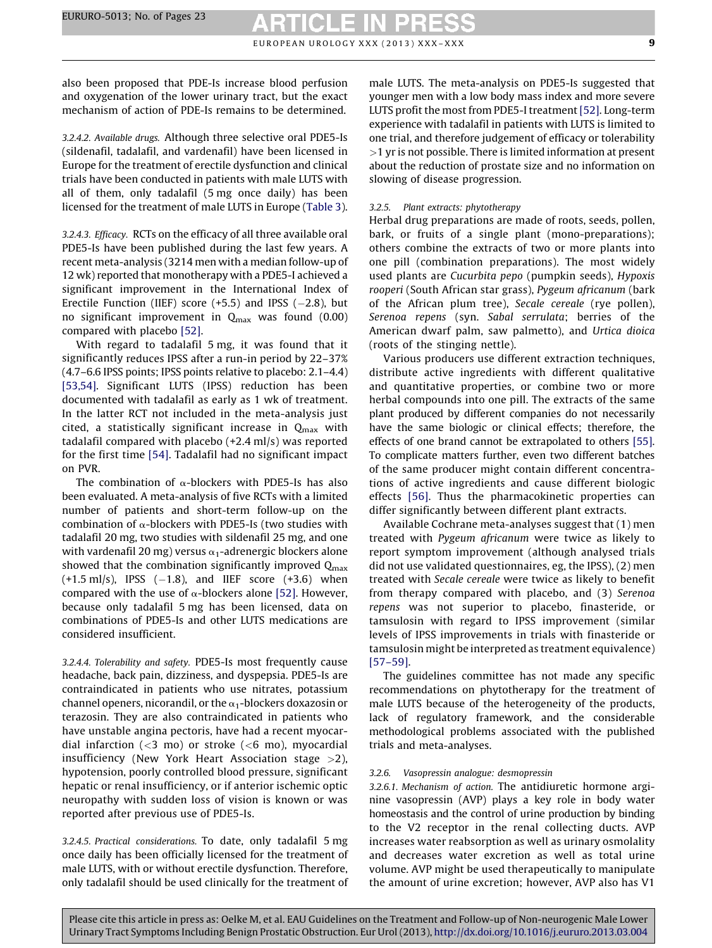## E U R O P E A N U R O L O G Y X X X ( 2 0 1 3 ) X X X – X X X 9

also been proposed that PDE-Is increase blood perfusion and oxygenation of the lower urinary tract, but the exact mechanism of action of PDE-Is remains to be determined.

3.2.4.2. Available drugs. Although three selective oral PDE5-Is (sildenafil, tadalafil, and vardenafil) have been licensed in Europe for the treatment of erectile dysfunction and clinical trials have been conducted in patients with male LUTS with all of them, only tadalafil (5 mg once daily) has been licensed for the treatment of male LUTS in Europe ([Table](#page-3-0) 3).

3.2.4.3. Efficacy. RCTs on the efficacy of all three available oral PDE5-Is have been published during the last few years. A recent meta-analysis (3214 men with a median follow-up of 12 wk) reported that monotherapy with a PDE5-I achieved a significant improvement in the International Index of Erectile Function (IIEF) score  $(+5.5)$  and IPSS  $(-2.8)$ , but no significant improvement in  $Q_{\text{max}}$  was found (0.00) compared with placebo [\[52\]](#page-19-0).

With regard to tadalafil 5 mg, it was found that it significantly reduces IPSS after a run-in period by 22–37% (4.7–6.6 IPSS points; IPSS points relative to placebo: 2.1–4.4) [\[53,54\]](#page-19-0). Significant LUTS (IPSS) reduction has been documented with tadalafil as early as 1 wk of treatment. In the latter RCT not included in the meta-analysis just cited, a statistically significant increase in  $Q_{\text{max}}$  with tadalafil compared with placebo (+2.4 ml/s) was reported for the first time [\[54\]](#page-19-0). Tadalafil had no significant impact on PVR.

The combination of  $\alpha$ -blockers with PDE5-Is has also been evaluated. A meta-analysis of five RCTs with a limited number of patients and short-term follow-up on the combination of  $\alpha$ -blockers with PDE5-Is (two studies with tadalafil 20 mg, two studies with sildenafil 25 mg, and one with vardenafil 20 mg) versus  $\alpha_1$ -adrenergic blockers alone showed that the combination significantly improved  $Q_{\text{max}}$  $(+1.5 \text{ ml/s})$ , IPSS  $(-1.8)$ , and IIEF score  $(+3.6)$  when compared with the use of  $\alpha$ -blockers alone [\[52\]](#page-19-0). However, because only tadalafil 5 mg has been licensed, data on combinations of PDE5-Is and other LUTS medications are considered insufficient.

3.2.4.4. Tolerability and safety. PDE5-Is most frequently cause headache, back pain, dizziness, and dyspepsia. PDE5-Is are contraindicated in patients who use nitrates, potassium channel openers, nicorandil, or the  $\alpha_1$ -blockers doxazosin or terazosin. They are also contraindicated in patients who have unstable angina pectoris, have had a recent myocardial infarction  $\left( < 3 \right)$  mo) or stroke  $\left( < 6 \right)$  mo), myocardial insufficiency (New York Heart Association stage >2), hypotension, poorly controlled blood pressure, significant hepatic or renal insufficiency, or if anterior ischemic optic neuropathy with sudden loss of vision is known or was reported after previous use of PDE5-Is.

3.2.4.5. Practical considerations. To date, only tadalafil 5 mg once daily has been officially licensed for the treatment of male LUTS, with or without erectile dysfunction. Therefore, only tadalafil should be used clinically for the treatment of

male LUTS. The meta-analysis on PDE5-Is suggested that younger men with a low body mass index and more severe LUTS profit the most from PDE5-I treatment [\[52\].](#page-19-0) Long-term experience with tadalafil in patients with LUTS is limited to one trial, and therefore judgement of efficacy or tolerability  $>1$  yr is not possible. There is limited information at present about the reduction of prostate size and no information on slowing of disease progression.

#### 3.2.5. Plant extracts: phytotherapy

Herbal drug preparations are made of roots, seeds, pollen, bark, or fruits of a single plant (mono-preparations); others combine the extracts of two or more plants into one pill (combination preparations). The most widely used plants are Cucurbita pepo (pumpkin seeds), Hypoxis rooperi (South African star grass), Pygeum africanum (bark of the African plum tree), Secale cereale (rye pollen), Serenoa repens (syn. Sabal serrulata; berries of the American dwarf palm, saw palmetto), and Urtica dioica (roots of the stinging nettle).

Various producers use different extraction techniques, distribute active ingredients with different qualitative and quantitative properties, or combine two or more herbal compounds into one pill. The extracts of the same plant produced by different companies do not necessarily have the same biologic or clinical effects; therefore, the effects of one brand cannot be extrapolated to others [\[55\].](#page-19-0) To complicate matters further, even two different batches of the same producer might contain different concentrations of active ingredients and cause different biologic effects [\[56\].](#page-19-0) Thus the pharmacokinetic properties can differ significantly between different plant extracts.

Available Cochrane meta-analyses suggest that (1) men treated with Pygeum africanum were twice as likely to report symptom improvement (although analysed trials did not use validated questionnaires, eg, the IPSS), (2) men treated with Secale cereale were twice as likely to benefit from therapy compared with placebo, and (3) Serenoa repens was not superior to placebo, finasteride, or tamsulosin with regard to IPSS improvement (similar levels of IPSS improvements in trials with finasteride or tamsulosin might be interpreted as treatment equivalence) [\[57–59\].](#page-19-0)

The guidelines committee has not made any specific recommendations on phytotherapy for the treatment of male LUTS because of the heterogeneity of the products, lack of regulatory framework, and the considerable methodological problems associated with the published trials and meta-analyses.

#### 3.2.6. Vasopressin analogue: desmopressin

3.2.6.1. Mechanism of action. The antidiuretic hormone arginine vasopressin (AVP) plays a key role in body water homeostasis and the control of urine production by binding to the V2 receptor in the renal collecting ducts. AVP increases water reabsorption as well as urinary osmolality and decreases water excretion as well as total urine volume. AVP might be used therapeutically to manipulate the amount of urine excretion; however, AVP also has V1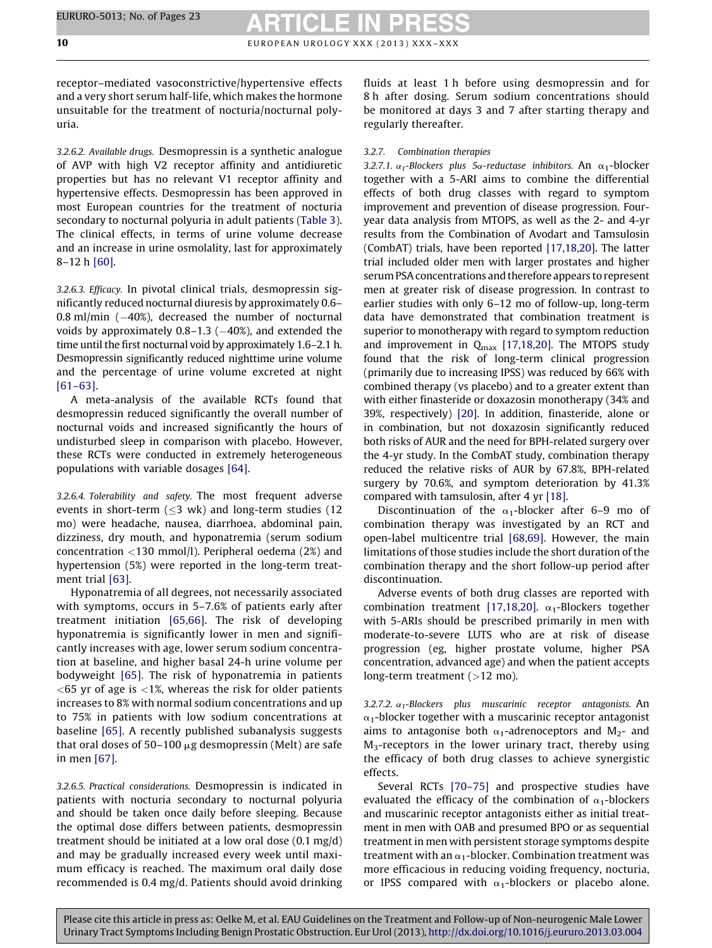receptor–mediated vasoconstrictive/hypertensive effects and a very short serum half-life, which makes the hormone unsuitable for the treatment of nocturia/nocturnal polyuria.

3.2.6.2. Available drugs. Desmopressin is a synthetic analogue of AVP with high V2 receptor affinity and antidiuretic properties but has no relevant V1 receptor affinity and hypertensive effects. Desmopressin has been approved in most European countries for the treatment of nocturia secondary to nocturnal polyuria in adult patients ([Table](#page-3-0) 3). The clinical effects, in terms of urine volume decrease and an increase in urine osmolality, last for approximately 8–12 h [\[60\].](#page-19-0)

3.2.6.3. Efficacy. In pivotal clinical trials, desmopressin significantly reduced nocturnal diuresis by approximately 0.6– 0.8 ml/min  $(-40%)$ , decreased the number of nocturnal voids by approximately  $0.8-1.3$  ( $-40\%$ ), and extended the time until the first nocturnal void by approximately 1.6–2.1 h. Desmopressin significantly reduced nighttime urine volume and the percentage of urine volume excreted at night [\[61–63\]](#page-19-0).

A meta-analysis of the available RCTs found that desmopressin reduced significantly the overall number of nocturnal voids and increased significantly the hours of undisturbed sleep in comparison with placebo. However, these RCTs were conducted in extremely heterogeneous populations with variable dosages [\[64\]](#page-19-0).

3.2.6.4. Tolerability and safety. The most frequent adverse events in short-term  $(\leq 3$  wk) and long-term studies (12 mo) were headache, nausea, diarrhoea, abdominal pain, dizziness, dry mouth, and hyponatremia (serum sodium concentration <130 mmol/l). Peripheral oedema (2%) and hypertension (5%) were reported in the long-term treatment trial [\[63\].](#page-19-0)

Hyponatremia of all degrees, not necessarily associated with symptoms, occurs in 5–7.6% of patients early after treatment initiation [\[65,66\]](#page-19-0). The risk of developing hyponatremia is significantly lower in men and significantly increases with age, lower serum sodium concentration at baseline, and higher basal 24-h urine volume per bodyweight [\[65\]](#page-19-0). The risk of hyponatremia in patients  $<$  65 yr of age is  $<$  1%, whereas the risk for older patients increases to 8% with normal sodium concentrations and up to 75% in patients with low sodium concentrations at baseline [\[65\]](#page-19-0). A recently published subanalysis suggests that oral doses of 50-100  $\mu$ g desmopressin (Melt) are safe in men [\[67\]](#page-19-0).

3.2.6.5. Practical considerations. Desmopressin is indicated in patients with nocturia secondary to nocturnal polyuria and should be taken once daily before sleeping. Because the optimal dose differs between patients, desmopressin treatment should be initiated at a low oral dose (0.1 mg/d) and may be gradually increased every week until maximum efficacy is reached. The maximum oral daily dose recommended is 0.4 mg/d. Patients should avoid drinking

fluids at least 1 h before using desmopressin and for 8 h after dosing. Serum sodium concentrations should be monitored at days 3 and 7 after starting therapy and regularly thereafter.

#### 3.2.7. Combination therapies

3.2.7.1.  $\alpha_1$ -Blockers plus 5 $\alpha$ -reductase inhibitors. An  $\alpha_1$ -blocker together with a 5-ARI aims to combine the differential effects of both drug classes with regard to symptom improvement and prevention of disease progression. Fouryear data analysis from MTOPS, as well as the 2- and 4-yr results from the Combination of Avodart and Tamsulosin (CombAT) trials, have been reported [\[17,18,20\].](#page-18-0) The latter trial included older men with larger prostates and higher serum PSA concentrations and therefore appears to represent men at greater risk of disease progression. In contrast to earlier studies with only 6–12 mo of follow-up, long-term data have demonstrated that combination treatment is superior to monotherapy with regard to symptom reduction and improvement in  $Q_{\text{max}}$  [\[17,18,20\].](#page-18-0) The MTOPS study found that the risk of long-term clinical progression (primarily due to increasing IPSS) was reduced by 66% with combined therapy (vs placebo) and to a greater extent than with either finasteride or doxazosin monotherapy (34% and 39%, respectively) [\[20\]](#page-18-0). In addition, finasteride, alone or in combination, but not doxazosin significantly reduced both risks of AUR and the need for BPH-related surgery over the 4-yr study. In the CombAT study, combination therapy reduced the relative risks of AUR by 67.8%, BPH-related surgery by 70.6%, and symptom deterioration by 41.3% compared with tamsulosin, after 4 yr [\[18\]](#page-18-0).

Discontinuation of the  $\alpha_1$ -blocker after 6–9 mo of combination therapy was investigated by an RCT and open-label multicentre trial [\[68,69\].](#page-19-0) However, the main limitations of those studies include the short duration of the combination therapy and the short follow-up period after discontinuation.

Adverse events of both drug classes are reported with combination treatment [\[17,18,20\].](#page-18-0)  $\alpha_1$ -Blockers together with 5-ARIs should be prescribed primarily in men with moderate-to-severe LUTS who are at risk of disease progression (eg, higher prostate volume, higher PSA concentration, advanced age) and when the patient accepts long-term treatment  $(>12$  mo).

3.2.7.2.  $\alpha_1$ -Blockers plus muscarinic receptor antagonists. An  $\alpha_1$ -blocker together with a muscarinic receptor antagonist aims to antagonise both  $\alpha_1$ -adrenoceptors and M<sub>2</sub>- and  $M<sub>3</sub>$ -receptors in the lower urinary tract, thereby using the efficacy of both drug classes to achieve synergistic effects.

Several RCTs [\[70–75\]](#page-19-0) and prospective studies have evaluated the efficacy of the combination of  $\alpha_1$ -blockers and muscarinic receptor antagonists either as initial treatment in men with OAB and presumed BPO or as sequential treatmentin men with persistent storage symptoms despite treatment with an  $\alpha_1$ -blocker. Combination treatment was more efficacious in reducing voiding frequency, nocturia, or IPSS compared with  $\alpha_1$ -blockers or placebo alone.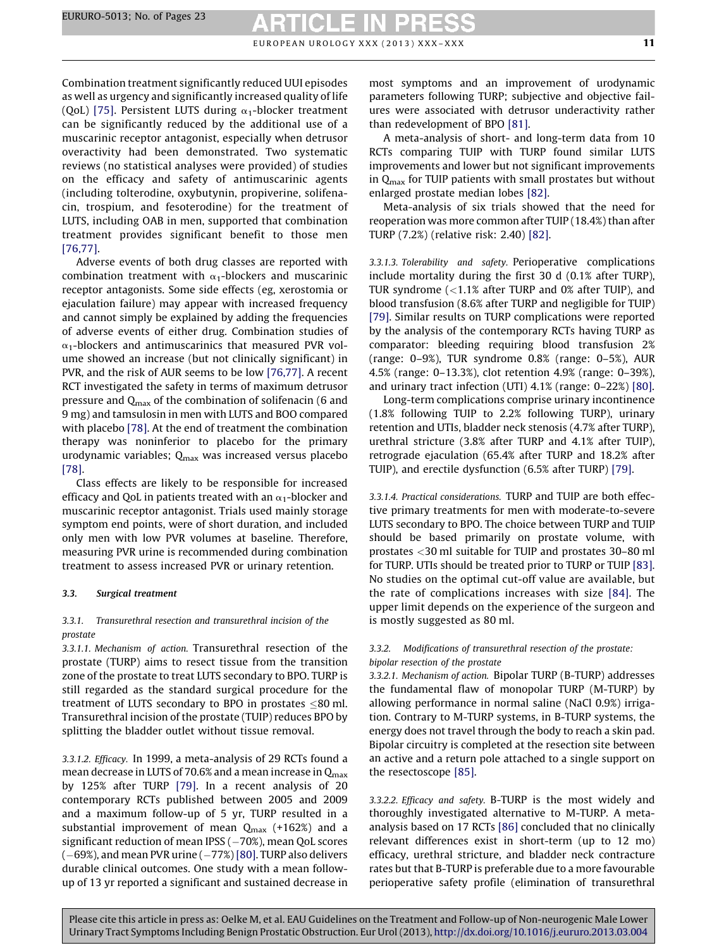Combination treatment significantly reduced UUI episodes as well as urgency and significantly increased quality of life (QoL) [\[75\]](#page-20-0). Persistent LUTS during  $\alpha_1$ -blocker treatment can be significantly reduced by the additional use of a muscarinic receptor antagonist, especially when detrusor overactivity had been demonstrated. Two systematic reviews (no statistical analyses were provided) of studies on the efficacy and safety of antimuscarinic agents (including tolterodine, oxybutynin, propiverine, solifenacin, trospium, and fesoterodine) for the treatment of LUTS, including OAB in men, supported that combination treatment provides significant benefit to those men [\[76,77\].](#page-20-0)

Adverse events of both drug classes are reported with combination treatment with  $\alpha_1$ -blockers and muscarinic receptor antagonists. Some side effects (eg, xerostomia or ejaculation failure) may appear with increased frequency and cannot simply be explained by adding the frequencies of adverse events of either drug. Combination studies of  $\alpha_1$ -blockers and antimuscarinics that measured PVR volume showed an increase (but not clinically significant) in PVR, and the risk of AUR seems to be low [\[76,77\]](#page-20-0). A recent RCT investigated the safety in terms of maximum detrusor pressure and  $Q_{\text{max}}$  of the combination of solifenacin (6 and 9 mg) and tamsulosin in men with LUTS and BOO compared with placebo [\[78\]](#page-20-0). At the end of treatment the combination therapy was noninferior to placebo for the primary urodynamic variables; Q<sub>max</sub> was increased versus placebo [\[78\].](#page-20-0)

Class effects are likely to be responsible for increased efficacy and QoL in patients treated with an  $\alpha_1$ -blocker and muscarinic receptor antagonist. Trials used mainly storage symptom end points, were of short duration, and included only men with low PVR volumes at baseline. Therefore, measuring PVR urine is recommended during combination treatment to assess increased PVR or urinary retention.

#### 3.3. Surgical treatment

#### 3.3.1. Transurethral resection and transurethral incision of the prostate

3.3.1.1. Mechanism of action. Transurethral resection of the prostate (TURP) aims to resect tissue from the transition zone of the prostate to treat LUTS secondary to BPO. TURP is still regarded as the standard surgical procedure for the treatment of LUTS secondary to BPO in prostates  $\leq$ 80 ml. Transurethral incision of the prostate (TUIP) reduces BPO by splitting the bladder outlet without tissue removal.

3.3.1.2. Efficacy. In 1999, a meta-analysis of 29 RCTs found a mean decrease in LUTS of 70.6% and a mean increase in  $Q_{\text{max}}$ by 125% after TURP [\[79\]](#page-20-0). In a recent analysis of 20 contemporary RCTs published between 2005 and 2009 and a maximum follow-up of 5 yr, TURP resulted in a substantial improvement of mean  $Q_{\text{max}}$  (+162%) and a significant reduction of mean IPSS  $(-70%)$ , mean QoL scores  $(-69%)$ , and mean PVR urine  $(-77%)$  [\[80\]](#page-20-0). TURP also delivers durable clinical outcomes. One study with a mean followup of 13 yr reported a significant and sustained decrease in most symptoms and an improvement of urodynamic parameters following TURP; subjective and objective failures were associated with detrusor underactivity rather than redevelopment of BPO [\[81\].](#page-20-0)

A meta-analysis of short- and long-term data from 10 RCTs comparing TUIP with TURP found similar LUTS improvements and lower but not significant improvements in  $Q_{\text{max}}$  for TUIP patients with small prostates but without enlarged prostate median lobes [\[82\].](#page-20-0)

Meta-analysis of six trials showed that the need for reoperation was more common after TUIP (18.4%) than after TURP (7.2%) (relative risk: 2.40) [\[82\]](#page-20-0).

3.3.1.3. Tolerability and safety. Perioperative complications include mortality during the first 30 d (0.1% after TURP), TUR syndrome (<1.1% after TURP and 0% after TUIP), and blood transfusion (8.6% after TURP and negligible for TUIP) [\[79\].](#page-20-0) Similar results on TURP complications were reported by the analysis of the contemporary RCTs having TURP as comparator: bleeding requiring blood transfusion 2% (range: 0–9%), TUR syndrome 0.8% (range: 0–5%), AUR 4.5% (range: 0–13.3%), clot retention 4.9% (range: 0–39%), and urinary tract infection (UTI) 4.1% (range: 0–22%) [\[80\].](#page-20-0)

Long-term complications comprise urinary incontinence (1.8% following TUIP to 2.2% following TURP), urinary retention and UTIs, bladder neck stenosis (4.7% after TURP), urethral stricture (3.8% after TURP and 4.1% after TUIP), retrograde ejaculation (65.4% after TURP and 18.2% after TUIP), and erectile dysfunction (6.5% after TURP) [\[79\].](#page-20-0)

3.3.1.4. Practical considerations. TURP and TUIP are both effective primary treatments for men with moderate-to-severe LUTS secondary to BPO. The choice between TURP and TUIP should be based primarily on prostate volume, with prostates <30 ml suitable for TUIP and prostates 30–80 ml for TURP. UTIs should be treated prior to TURP or TUIP [\[83\].](#page-20-0) No studies on the optimal cut-off value are available, but the rate of complications increases with size [\[84\]](#page-20-0). The upper limit depends on the experience of the surgeon and is mostly suggested as 80 ml.

#### 3.3.2. Modifications of transurethral resection of the prostate: bipolar resection of the prostate

3.3.2.1. Mechanism of action. Bipolar TURP (B-TURP) addresses the fundamental flaw of monopolar TURP (M-TURP) by allowing performance in normal saline (NaCl 0.9%) irrigation. Contrary to M-TURP systems, in B-TURP systems, the energy does not travel through the body to reach a skin pad. Bipolar circuitry is completed at the resection site between an active and a return pole attached to a single support on the resectoscope [\[85\].](#page-20-0)

3.3.2.2. Efficacy and safety. B-TURP is the most widely and thoroughly investigated alternative to M-TURP. A metaanalysis based on 17 RCTs [\[86\]](#page-20-0) concluded that no clinically relevant differences exist in short-term (up to 12 mo) efficacy, urethral stricture, and bladder neck contracture rates but that B-TURP is preferable due to a more favourable perioperative safety profile (elimination of transurethral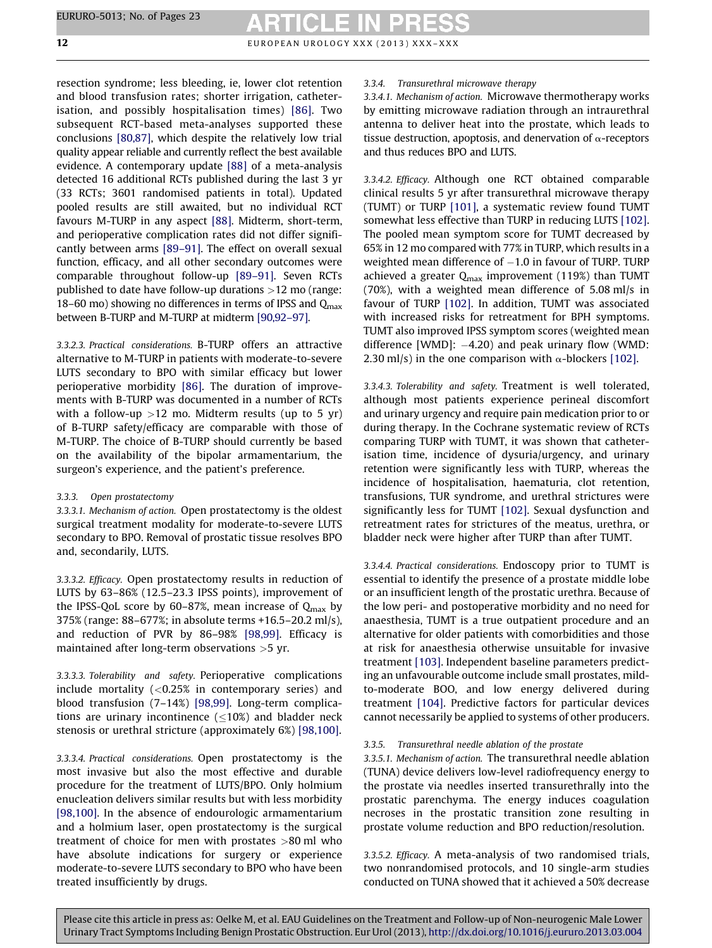resection syndrome; less bleeding, ie, lower clot retention and blood transfusion rates; shorter irrigation, catheterisation, and possibly hospitalisation times) [\[86\].](#page-20-0) Two subsequent RCT-based meta-analyses supported these conclusions [\[80,87\]](#page-20-0), which despite the relatively low trial quality appear reliable and currently reflect the best available evidence. A contemporary update [\[88\]](#page-20-0) of a meta-analysis detected 16 additional RCTs published during the last 3 yr (33 RCTs; 3601 randomised patients in total). Updated pooled results are still awaited, but no individual RCT favours M-TURP in any aspect [\[88\].](#page-20-0) Midterm, short-term, and perioperative complication rates did not differ significantly between arms [\[89–91\].](#page-20-0) The effect on overall sexual function, efficacy, and all other secondary outcomes were comparable throughout follow-up [\[89–91\]](#page-20-0). Seven RCTs published to date have follow-up durations >12 mo (range: 18–60 mo) showing no differences in terms of IPSS and Q<sub>max</sub> between B-TURP and M-TURP at midterm [\[90,92–97\].](#page-20-0)

3.3.2.3. Practical considerations. B-TURP offers an attractive alternative to M-TURP in patients with moderate-to-severe LUTS secondary to BPO with similar efficacy but lower perioperative morbidity [\[86\].](#page-20-0) The duration of improvements with B-TURP was documented in a number of RCTs with a follow-up  $>12$  mo. Midterm results (up to 5 yr) of B-TURP safety/efficacy are comparable with those of M-TURP. The choice of B-TURP should currently be based on the availability of the bipolar armamentarium, the surgeon's experience, and the patient's preference.

#### 3.3.3. Open prostatectomy

3.3.3.1. Mechanism of action. Open prostatectomy is the oldest surgical treatment modality for moderate-to-severe LUTS secondary to BPO. Removal of prostatic tissue resolves BPO and, secondarily, LUTS.

3.3.3.2. Efficacy. Open prostatectomy results in reduction of LUTS by 63–86% (12.5–23.3 IPSS points), improvement of the IPSS-QoL score by 60–87%, mean increase of  $Q<sub>max</sub>$  by 375% (range: 88–677%; in absolute terms +16.5–20.2 ml/s), and reduction of PVR by 86–98% [\[98,99\].](#page-20-0) Efficacy is maintained after long-term observations >5 yr.

3.3.3.3. Tolerability and safety. Perioperative complications include mortality  $\left($  < 0.25% in contemporary series) and blood transfusion (7–14%) [\[98,99\].](#page-20-0) Long-term complications are urinary incontinence  $(<10%)$  and bladder neck stenosis or urethral stricture (approximately 6%) [\[98,100\].](#page-20-0)

3.3.3.4. Practical considerations. Open prostatectomy is the most invasive but also the most effective and durable procedure for the treatment of LUTS/BPO. Only holmium enucleation delivers similar results but with less morbidity [\[98,100\]](#page-20-0). In the absence of endourologic armamentarium and a holmium laser, open prostatectomy is the surgical treatment of choice for men with prostates >80 ml who have absolute indications for surgery or experience moderate-to-severe LUTS secondary to BPO who have been treated insufficiently by drugs.

#### 3.3.4. Transurethral microwave therapy

3.3.4.1. Mechanism of action. Microwave thermotherapy works by emitting microwave radiation through an intraurethral antenna to deliver heat into the prostate, which leads to tissue destruction, apoptosis, and denervation of  $\alpha$ -receptors and thus reduces BPO and LUTS.

3.3.4.2. Efficacy. Although one RCT obtained comparable clinical results 5 yr after transurethral microwave therapy (TUMT) or TURP [\[101\]](#page-20-0), a systematic review found TUMT somewhat less effective than TURP in reducing LUTS [\[102\]](#page-20-0). The pooled mean symptom score for TUMT decreased by 65% in 12 mo compared with 77% in TURP, which results in a weighted mean difference of  $-1.0$  in favour of TURP. TURP achieved a greater  $Q_{\text{max}}$  improvement (119%) than TUMT (70%), with a weighted mean difference of 5.08 ml/s in favour of TURP [\[102\]](#page-20-0). In addition, TUMT was associated with increased risks for retreatment for BPH symptoms. TUMT also improved IPSS symptom scores (weighted mean difference [WMD]:  $-4.20$ ] and peak urinary flow (WMD: 2.30 ml/s) in the one comparison with  $\alpha$ -blockers [\[102\]](#page-20-0).

3.3.4.3. Tolerability and safety. Treatment is well tolerated, although most patients experience perineal discomfort and urinary urgency and require pain medication prior to or during therapy. In the Cochrane systematic review of RCTs comparing TURP with TUMT, it was shown that catheterisation time, incidence of dysuria/urgency, and urinary retention were significantly less with TURP, whereas the incidence of hospitalisation, haematuria, clot retention, transfusions, TUR syndrome, and urethral strictures were significantly less for TUMT [\[102\]](#page-20-0). Sexual dysfunction and retreatment rates for strictures of the meatus, urethra, or bladder neck were higher after TURP than after TUMT.

3.3.4.4. Practical considerations. Endoscopy prior to TUMT is essential to identify the presence of a prostate middle lobe or an insufficient length of the prostatic urethra. Because of the low peri- and postoperative morbidity and no need for anaesthesia, TUMT is a true outpatient procedure and an alternative for older patients with comorbidities and those at risk for anaesthesia otherwise unsuitable for invasive treatment [\[103\].](#page-20-0) Independent baseline parameters predicting an unfavourable outcome include small prostates, mildto-moderate BOO, and low energy delivered during treatment [\[104\].](#page-20-0) Predictive factors for particular devices cannot necessarily be applied to systems of other producers.

#### 3.3.5. Transurethral needle ablation of the prostate

3.3.5.1. Mechanism of action. The transurethral needle ablation (TUNA) device delivers low-level radiofrequency energy to the prostate via needles inserted transurethrally into the prostatic parenchyma. The energy induces coagulation necroses in the prostatic transition zone resulting in prostate volume reduction and BPO reduction/resolution.

3.3.5.2. Efficacy. A meta-analysis of two randomised trials, two nonrandomised protocols, and 10 single-arm studies conducted on TUNA showed that it achieved a 50% decrease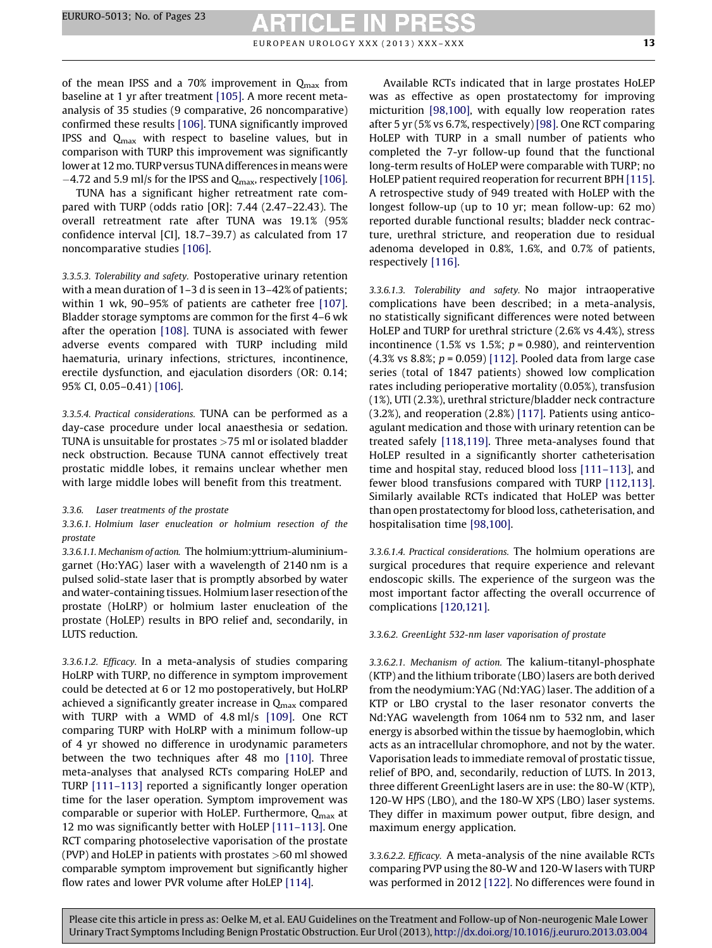of the mean IPSS and a 70% improvement in  $Q_{\text{max}}$  from baseline at 1 yr after treatment [\[105\]](#page-20-0). A more recent metaanalysis of 35 studies (9 comparative, 26 noncomparative) confirmed these results [\[106\]](#page-20-0). TUNA significantly improved IPSS and  $Q_{\text{max}}$  with respect to baseline values, but in comparison with TURP this improvement was significantly lower at 12 mo. TURP versus TUNA differences in means were  $-4.72$  and 5.9 ml/s for the IPSS and Q<sub>max</sub>, respectively [\[106\].](#page-20-0)

TUNA has a significant higher retreatment rate compared with TURP (odds ratio [OR]: 7.44 (2.47–22.43). The overall retreatment rate after TUNA was 19.1% (95% confidence interval [CI], 18.7–39.7) as calculated from 17 noncomparative studies [\[106\].](#page-20-0)

3.3.5.3. Tolerability and safety. Postoperative urinary retention with a mean duration of 1–3 d is seen in 13–42% of patients; within 1 wk, 90–95% of patients are catheter free [\[107\].](#page-20-0) Bladder storage symptoms are common for the first 4–6 wk after the operation [\[108\]](#page-20-0). TUNA is associated with fewer adverse events compared with TURP including mild haematuria, urinary infections, strictures, incontinence, erectile dysfunction, and ejaculation disorders (OR: 0.14; 95% CI, 0.05–0.41) [\[106\]](#page-20-0).

3.3.5.4. Practical considerations. TUNA can be performed as a day-case procedure under local anaesthesia or sedation. TUNA is unsuitable for prostates >75 ml or isolated bladder neck obstruction. Because TUNA cannot effectively treat prostatic middle lobes, it remains unclear whether men with large middle lobes will benefit from this treatment.

#### 3.3.6. Laser treatments of the prostate

3.3.6.1. Holmium laser enucleation or holmium resection of the prostate

3.3.6.1.1. Mechanism of action. The holmium:yttrium-aluminiumgarnet (Ho:YAG) laser with a wavelength of 2140 nm is a pulsed solid-state laser that is promptly absorbed by water and water-containing tissues. Holmium laser resection of the prostate (HoLRP) or holmium laster enucleation of the prostate (HoLEP) results in BPO relief and, secondarily, in LUTS reduction.

3.3.6.1.2. Efficacy. In a meta-analysis of studies comparing HoLRP with TURP, no difference in symptom improvement could be detected at 6 or 12 mo postoperatively, but HoLRP achieved a significantly greater increase in  $Q_{\text{max}}$  compared with TURP with a WMD of 4.8 ml/s [\[109\].](#page-21-0) One RCT comparing TURP with HoLRP with a minimum follow-up of 4 yr showed no difference in urodynamic parameters between the two techniques after 48 mo [\[110\].](#page-21-0) Three meta-analyses that analysed RCTs comparing HoLEP and TURP [\[111–113\]](#page-21-0) reported a significantly longer operation time for the laser operation. Symptom improvement was comparable or superior with HoLEP. Furthermore, Q<sub>max</sub> at 12 mo was significantly better with HoLEP [\[111–113\]](#page-21-0). One RCT comparing photoselective vaporisation of the prostate (PVP) and HoLEP in patients with prostates >60 ml showed comparable symptom improvement but significantly higher flow rates and lower PVR volume after HoLEP [\[114\]](#page-21-0).

Available RCTs indicated that in large prostates HoLEP was as effective as open prostatectomy for improving micturition [\[98,100\]](#page-20-0), with equally low reoperation rates after 5 yr (5% vs 6.7%, respectively) [\[98\]](#page-20-0). One RCT comparing HoLEP with TURP in a small number of patients who completed the 7-yr follow-up found that the functional long-term results of HoLEP were comparable with TURP; no HoLEP patient required reoperation for recurrent BPH [\[115\].](#page-21-0) A retrospective study of 949 treated with HoLEP with the longest follow-up (up to 10 yr; mean follow-up: 62 mo) reported durable functional results; bladder neck contracture, urethral stricture, and reoperation due to residual adenoma developed in 0.8%, 1.6%, and 0.7% of patients, respectively [\[116\].](#page-21-0)

3.3.6.1.3. Tolerability and safety. No major intraoperative complications have been described; in a meta-analysis, no statistically significant differences were noted between HoLEP and TURP for urethral stricture (2.6% vs 4.4%), stress incontinence (1.5% vs 1.5%;  $p = 0.980$ ), and reintervention (4.3% vs 8.8%;  $p = 0.059$ ) [\[112\]](#page-21-0). Pooled data from large case series (total of 1847 patients) showed low complication rates including perioperative mortality (0.05%), transfusion (1%), UTI (2.3%), urethral stricture/bladder neck contracture (3.2%), and reoperation (2.8%) [\[117\].](#page-21-0) Patients using anticoagulant medication and those with urinary retention can be treated safely [\[118,119\].](#page-21-0) Three meta-analyses found that HoLEP resulted in a significantly shorter catheterisation time and hospital stay, reduced blood loss [\[111–113\],](#page-21-0) and fewer blood transfusions compared with TURP [\[112,113\].](#page-21-0) Similarly available RCTs indicated that HoLEP was better than open prostatectomy for blood loss, catheterisation, and hospitalisation time [\[98,100\]](#page-20-0).

3.3.6.1.4. Practical considerations. The holmium operations are surgical procedures that require experience and relevant endoscopic skills. The experience of the surgeon was the most important factor affecting the overall occurrence of complications [\[120,121\].](#page-21-0)

#### 3.3.6.2. GreenLight 532-nm laser vaporisation of prostate

3.3.6.2.1. Mechanism of action. The kalium-titanyl-phosphate (KTP) and the lithium triborate (LBO) lasers are both derived from the neodymium:YAG (Nd:YAG) laser. The addition of a KTP or LBO crystal to the laser resonator converts the Nd:YAG wavelength from 1064 nm to 532 nm, and laser energy is absorbed within the tissue by haemoglobin, which acts as an intracellular chromophore, and not by the water. Vaporisation leads to immediate removal of prostatic tissue, relief of BPO, and, secondarily, reduction of LUTS. In 2013, three different GreenLight lasers are in use: the 80-W (KTP), 120-W HPS (LBO), and the 180-W XPS (LBO) laser systems. They differ in maximum power output, fibre design, and maximum energy application.

3.3.6.2.2. Efficacy. A meta-analysis of the nine available RCTs comparing PVP using the 80-W and 120-W lasers with TURP was performed in 2012 [\[122\].](#page-21-0) No differences were found in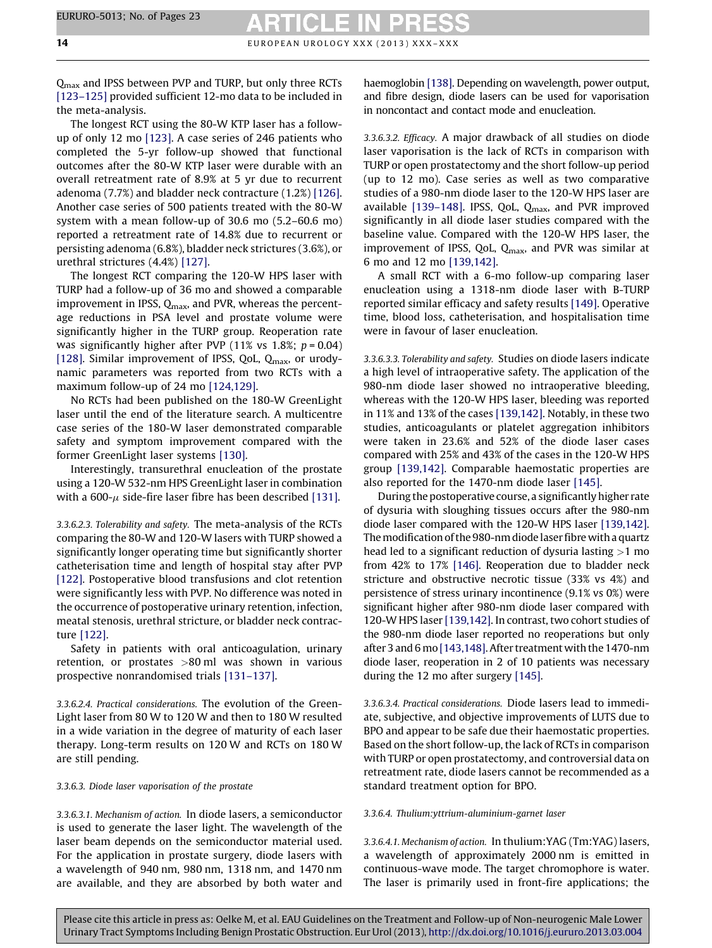Qmax and IPSS between PVP and TURP, but only three RCTs [123-125] provided sufficient 12-mo data to be included in the meta-analysis.

The longest RCT using the 80-W KTP laser has a followup of only 12 mo [\[123\]](#page-21-0). A case series of 246 patients who completed the 5-yr follow-up showed that functional outcomes after the 80-W KTP laser were durable with an overall retreatment rate of 8.9% at 5 yr due to recurrent adenoma (7.7%) and bladder neck contracture (1.2%) [\[126\]](#page-21-0). Another case series of 500 patients treated with the 80-W system with a mean follow-up of 30.6 mo (5.2–60.6 mo) reported a retreatment rate of 14.8% due to recurrent or persisting adenoma (6.8%), bladder neck strictures (3.6%), or urethral strictures (4.4%) [\[127\].](#page-21-0)

The longest RCT comparing the 120-W HPS laser with TURP had a follow-up of 36 mo and showed a comparable improvement in IPSS, Q<sub>max</sub>, and PVR, whereas the percentage reductions in PSA level and prostate volume were significantly higher in the TURP group. Reoperation rate was significantly higher after PVP (11% vs 1.8%;  $p = 0.04$ ) [\[128\]](#page-21-0). Similar improvement of IPSS, QoL,  $Q_{\text{max}}$ , or urodynamic parameters was reported from two RCTs with a maximum follow-up of 24 mo [\[124,129\]](#page-21-0).

No RCTs had been published on the 180-W GreenLight laser until the end of the literature search. A multicentre case series of the 180-W laser demonstrated comparable safety and symptom improvement compared with the former GreenLight laser systems [\[130\]](#page-21-0).

Interestingly, transurethral enucleation of the prostate using a 120-W 532-nm HPS GreenLight laser in combination with a  $600-\mu$  side-fire laser fibre has been described [\[131\].](#page-21-0)

3.3.6.2.3. Tolerability and safety. The meta-analysis of the RCTs comparing the 80-W and 120-W lasers with TURP showed a significantly longer operating time but significantly shorter catheterisation time and length of hospital stay after PVP [\[122\]](#page-21-0). Postoperative blood transfusions and clot retention were significantly less with PVP. No difference was noted in the occurrence of postoperative urinary retention, infection, meatal stenosis, urethral stricture, or bladder neck contracture [\[122\].](#page-21-0)

Safety in patients with oral anticoagulation, urinary retention, or prostates >80 ml was shown in various prospective nonrandomised trials [\[131–137\].](#page-21-0)

3.3.6.2.4. Practical considerations. The evolution of the Green-Light laser from 80 W to 120 W and then to 180 W resulted in a wide variation in the degree of maturity of each laser therapy. Long-term results on 120 W and RCTs on 180 W are still pending.

#### 3.3.6.3. Diode laser vaporisation of the prostate

3.3.6.3.1. Mechanism of action. In diode lasers, a semiconductor is used to generate the laser light. The wavelength of the laser beam depends on the semiconductor material used. For the application in prostate surgery, diode lasers with a wavelength of 940 nm, 980 nm, 1318 nm, and 1470 nm are available, and they are absorbed by both water and

haemoglobin [\[138\]](#page-21-0). Depending on wavelength, power output, and fibre design, diode lasers can be used for vaporisation in noncontact and contact mode and enucleation.

3.3.6.3.2. Efficacy. A major drawback of all studies on diode laser vaporisation is the lack of RCTs in comparison with TURP or open prostatectomy and the short follow-up period (up to 12 mo). Case series as well as two comparative studies of a 980-nm diode laser to the 120-W HPS laser are available  $[139-148]$ . IPSS, QoL, Q<sub>max</sub>, and PVR improved significantly in all diode laser studies compared with the baseline value. Compared with the 120-W HPS laser, the improvement of IPSS, QoL, Q<sub>max</sub>, and PVR was similar at 6 mo and 12 mo [\[139,142\].](#page-21-0)

A small RCT with a 6-mo follow-up comparing laser enucleation using a 1318-nm diode laser with B-TURP reported similar efficacy and safety results [\[149\].](#page-22-0) Operative time, blood loss, catheterisation, and hospitalisation time were in favour of laser enucleation.

3.3.6.3.3. Tolerability and safety. Studies on diode lasers indicate a high level of intraoperative safety. The application of the 980-nm diode laser showed no intraoperative bleeding, whereas with the 120-W HPS laser, bleeding was reported in 11% and 13% of the cases [\[139,142\]](#page-21-0). Notably, in these two studies, anticoagulants or platelet aggregation inhibitors were taken in 23.6% and 52% of the diode laser cases compared with 25% and 43% of the cases in the 120-W HPS group [\[139,142\].](#page-21-0) Comparable haemostatic properties are also reported for the 1470-nm diode laser [\[145\].](#page-22-0)

During the postoperative course, a significantlyhigher rate of dysuria with sloughing tissues occurs after the 980-nm diode laser compared with the 120-W HPS laser [\[139,142\]](#page-21-0). The modification of the 980-nm diode laser fibre with a quartz head led to a significant reduction of dysuria lasting >1 mo from 42% to 17% [\[146\].](#page-22-0) Reoperation due to bladder neck stricture and obstructive necrotic tissue (33% vs 4%) and persistence of stress urinary incontinence (9.1% vs 0%) were significant higher after 980-nm diode laser compared with 120-W HPS laser [\[139,142\].](#page-21-0) In contrast, two cohort studies of the 980-nm diode laser reported no reoperations but only after 3 and 6 mo [\[143,148\]](#page-22-0). After treatment with the 1470-nm diode laser, reoperation in 2 of 10 patients was necessary during the 12 mo after surgery [\[145\]](#page-22-0).

3.3.6.3.4. Practical considerations. Diode lasers lead to immediate, subjective, and objective improvements of LUTS due to BPO and appear to be safe due their haemostatic properties. Based on the short follow-up, the lack of RCTs in comparison with TURP or open prostatectomy, and controversial data on retreatment rate, diode lasers cannot be recommended as a standard treatment option for BPO.

#### 3.3.6.4. Thulium:yttrium-aluminium-garnet laser

3.3.6.4.1. Mechanism of action. In thulium:YAG (Tm:YAG) lasers, a wavelength of approximately 2000 nm is emitted in continuous-wave mode. The target chromophore is water. The laser is primarily used in front-fire applications; the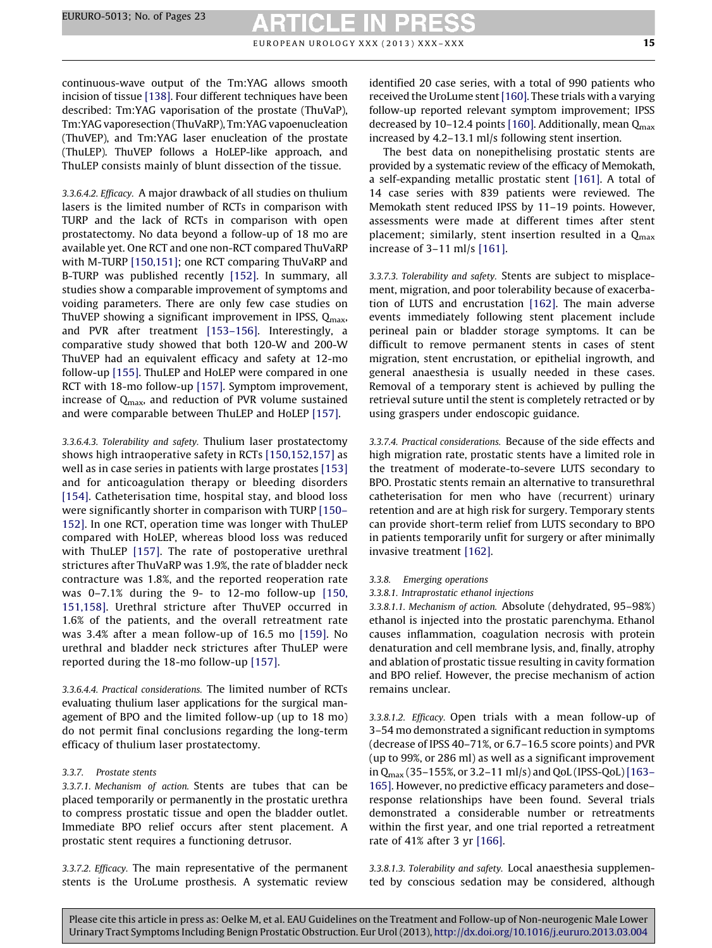continuous-wave output of the Tm:YAG allows smooth incision of tissue [\[138\].](#page-21-0) Four different techniques have been described: Tm:YAG vaporisation of the prostate (ThuVaP), Tm:YAG vaporesection (ThuVaRP), Tm:YAG vapoenucleation (ThuVEP), and Tm:YAG laser enucleation of the prostate (ThuLEP). ThuVEP follows a HoLEP-like approach, and ThuLEP consists mainly of blunt dissection of the tissue.

3.3.6.4.2. Efficacy. A major drawback of all studies on thulium lasers is the limited number of RCTs in comparison with TURP and the lack of RCTs in comparison with open prostatectomy. No data beyond a follow-up of 18 mo are available yet. One RCT and one non-RCT compared ThuVaRP with M-TURP [\[150,151\];](#page-22-0) one RCT comparing ThuVaRP and B-TURP was published recently [\[152\]](#page-22-0). In summary, all studies show a comparable improvement of symptoms and voiding parameters. There are only few case studies on ThuVEP showing a significant improvement in IPSS,  $Q_{\text{max}}$ , and PVR after treatment [\[153–156\]](#page-22-0). Interestingly, a comparative study showed that both 120-W and 200-W ThuVEP had an equivalent efficacy and safety at 12-mo follow-up [\[155\]](#page-22-0). ThuLEP and HoLEP were compared in one RCT with 18-mo follow-up [\[157\].](#page-22-0) Symptom improvement, increase of  $Q_{\text{max}}$ , and reduction of PVR volume sustained and were comparable between ThuLEP and HoLEP [\[157\]](#page-22-0).

3.3.6.4.3. Tolerability and safety. Thulium laser prostatectomy shows high intraoperative safety in RCTs [\[150,152,157\]](#page-22-0) as well as in case series in patients with large prostates [\[153\]](#page-22-0) and for anticoagulation therapy or bleeding disorders [\[154\]](#page-22-0). Catheterisation time, hospital stay, and blood loss were significantly shorter in comparison with TURP [\[150–](#page-22-0) [152\].](#page-22-0) In one RCT, operation time was longer with ThuLEP compared with HoLEP, whereas blood loss was reduced with ThuLEP [\[157\].](#page-22-0) The rate of postoperative urethral strictures after ThuVaRP was 1.9%, the rate of bladder neck contracture was 1.8%, and the reported reoperation rate was 0–7.1% during the 9- to 12-mo follow-up [\[150,](#page-22-0) [151,158\].](#page-22-0) Urethral stricture after ThuVEP occurred in 1.6% of the patients, and the overall retreatment rate was 3.4% after a mean follow-up of 16.5 mo [\[159\]](#page-22-0). No urethral and bladder neck strictures after ThuLEP were reported during the 18-mo follow-up [\[157\]](#page-22-0).

3.3.6.4.4. Practical considerations. The limited number of RCTs evaluating thulium laser applications for the surgical management of BPO and the limited follow-up (up to 18 mo) do not permit final conclusions regarding the long-term efficacy of thulium laser prostatectomy.

#### 3.3.7. Prostate stents

3.3.7.1. Mechanism of action. Stents are tubes that can be placed temporarily or permanently in the prostatic urethra to compress prostatic tissue and open the bladder outlet. Immediate BPO relief occurs after stent placement. A prostatic stent requires a functioning detrusor.

3.3.7.2. Efficacy. The main representative of the permanent stents is the UroLume prosthesis. A systematic review identified 20 case series, with a total of 990 patients who received the UroLume stent[\[160\].](#page-22-0) These trials with a varying follow-up reported relevant symptom improvement; IPSS decreased by 10–12.4 points [\[160\]](#page-22-0). Additionally, mean  $Q_{\text{max}}$ increased by 4.2–13.1 ml/s following stent insertion.

The best data on nonepithelising prostatic stents are provided by a systematic review of the efficacy of Memokath, a self-expanding metallic prostatic stent [\[161\].](#page-22-0) A total of 14 case series with 839 patients were reviewed. The Memokath stent reduced IPSS by 11–19 points. However, assessments were made at different times after stent placement; similarly, stent insertion resulted in a  $Q_{\text{max}}$ increase of 3–11 ml/s [\[161\].](#page-22-0)

3.3.7.3. Tolerability and safety. Stents are subject to misplacement, migration, and poor tolerability because of exacerbation of LUTS and encrustation [\[162\].](#page-22-0) The main adverse events immediately following stent placement include perineal pain or bladder storage symptoms. It can be difficult to remove permanent stents in cases of stent migration, stent encrustation, or epithelial ingrowth, and general anaesthesia is usually needed in these cases. Removal of a temporary stent is achieved by pulling the retrieval suture until the stent is completely retracted or by using graspers under endoscopic guidance.

3.3.7.4. Practical considerations. Because of the side effects and high migration rate, prostatic stents have a limited role in the treatment of moderate-to-severe LUTS secondary to BPO. Prostatic stents remain an alternative to transurethral catheterisation for men who have (recurrent) urinary retention and are at high risk for surgery. Temporary stents can provide short-term relief from LUTS secondary to BPO in patients temporarily unfit for surgery or after minimally invasive treatment [\[162\].](#page-22-0)

#### 3.3.8. Emerging operations

#### 3.3.8.1. Intraprostatic ethanol injections

3.3.8.1.1. Mechanism of action. Absolute (dehydrated, 95–98%) ethanol is injected into the prostatic parenchyma. Ethanol causes inflammation, coagulation necrosis with protein denaturation and cell membrane lysis, and, finally, atrophy and ablation of prostatic tissue resulting in cavity formation and BPO relief. However, the precise mechanism of action remains unclear.

3.3.8.1.2. Efficacy. Open trials with a mean follow-up of 3–54 mo demonstrated a significant reduction in symptoms (decrease of IPSS 40–71%, or 6.7–16.5 score points) and PVR (up to 99%, or 286 ml) as well as a significant improvement in Qmax (35–155%, or 3.2–11 ml/s) and QoL (IPSS-QoL) [\[163–](#page-22-0) [165\].](#page-22-0) However, no predictive efficacy parameters and dose– response relationships have been found. Several trials demonstrated a considerable number or retreatments within the first year, and one trial reported a retreatment rate of 41% after 3 yr [\[166\].](#page-22-0)

3.3.8.1.3. Tolerability and safety. Local anaesthesia supplemented by conscious sedation may be considered, although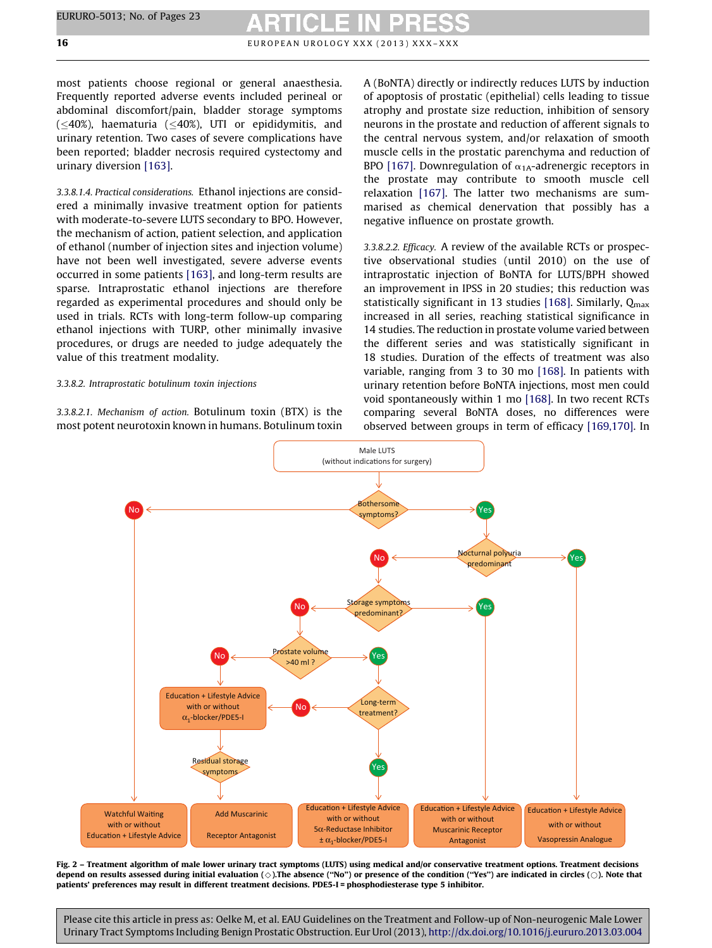<span id="page-15-0"></span>most patients choose regional or general anaesthesia. Frequently reported adverse events included perineal or abdominal discomfort/pain, bladder storage symptoms  $(**40%**)$ , haematuria  $(**40%**)$ , UTI or epididymitis, and urinary retention. Two cases of severe complications have been reported; bladder necrosis required cystectomy and urinary diversion [\[163\].](#page-22-0)

3.3.8.1.4. Practical considerations. Ethanol injections are considered a minimally invasive treatment option for patients with moderate-to-severe LUTS secondary to BPO. However, the mechanism of action, patient selection, and application of ethanol (number of injection sites and injection volume) have not been well investigated, severe adverse events occurred in some patients [\[163\],](#page-22-0) and long-term results are sparse. Intraprostatic ethanol injections are therefore regarded as experimental procedures and should only be used in trials. RCTs with long-term follow-up comparing ethanol injections with TURP, other minimally invasive procedures, or drugs are needed to judge adequately the value of this treatment modality.

#### 3.3.8.2. Intraprostatic botulinum toxin injections

3.3.8.2.1. Mechanism of action. Botulinum toxin (BTX) is the most potent neurotoxin known in humans. Botulinum toxin A (BoNTA) directly or indirectly reduces LUTS by induction of apoptosis of prostatic (epithelial) cells leading to tissue atrophy and prostate size reduction, inhibition of sensory neurons in the prostate and reduction of afferent signals to the central nervous system, and/or relaxation of smooth muscle cells in the prostatic parenchyma and reduction of BPO [\[167\].](#page-22-0) Downregulation of  $\alpha_{1A}$ -adrenergic receptors in the prostate may contribute to smooth muscle cell relaxation [\[167\]](#page-22-0). The latter two mechanisms are summarised as chemical denervation that possibly has a negative influence on prostate growth.

3.3.8.2.2. Efficacy. A review of the available RCTs or prospective observational studies (until 2010) on the use of intraprostatic injection of BoNTA for LUTS/BPH showed an improvement in IPSS in 20 studies; this reduction was statistically significant in 13 studies [\[168\]](#page-22-0). Similarly,  $Q_{\text{max}}$ increased in all series, reaching statistical significance in 14 studies. The reduction in prostate volume varied between the different series and was statistically significant in 18 studies. Duration of the effects of treatment was also variable, ranging from 3 to 30 mo [\[168\]](#page-22-0). In patients with urinary retention before BoNTA injections, most men could void spontaneously within 1 mo [\[168\]](#page-22-0). In two recent RCTs comparing several BoNTA doses, no differences were observed between groups in term of efficacy [\[169,170\]](#page-22-0). In



Fig. 2 – Treatment algorithm of male lower urinary tract symptoms (LUTS) using medical and/or conservative treatment options. Treatment decisions depend on results assessed during initial evaluation ( $\diamond$ ).The absence ("No") or presence of the condition ("Yes") are indicated in circles ( $\diamond$ ). Note that patients' preferences may result in different treatment decisions. PDE5-I = phosphodiesterase type 5 inhibitor.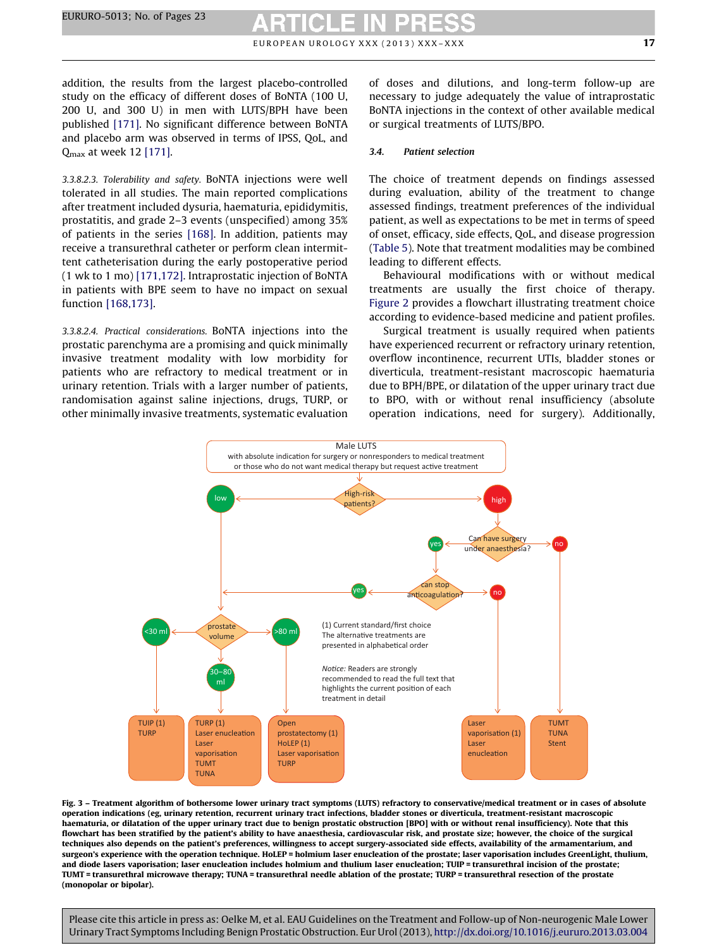<span id="page-16-0"></span>addition, the results from the largest placebo-controlled study on the efficacy of different doses of BoNTA (100 U, 200 U, and 300 U) in men with LUTS/BPH have been published [\[171\]](#page-22-0). No significant difference between BoNTA and placebo arm was observed in terms of IPSS, QoL, and Qmax at week 12 [\[171\]](#page-22-0).

3.3.8.2.3. Tolerability and safety. BoNTA injections were well tolerated in all studies. The main reported complications after treatment included dysuria, haematuria, epididymitis, prostatitis, and grade 2–3 events (unspecified) among 35% of patients in the series [\[168\].](#page-22-0) In addition, patients may receive a transurethral catheter or perform clean intermittent catheterisation during the early postoperative period (1 wk to 1 mo) [\[171,172\]](#page-22-0). Intraprostatic injection of BoNTA in patients with BPE seem to have no impact on sexual function [\[168,173\]](#page-22-0).

3.3.8.2.4. Practical considerations. BoNTA injections into the prostatic parenchyma are a promising and quick minimally invasive treatment modality with low morbidity for patients who are refractory to medical treatment or in urinary retention. Trials with a larger number of patients, randomisation against saline injections, drugs, TURP, or other minimally invasive treatments, systematic evaluation of doses and dilutions, and long-term follow-up are necessary to judge adequately the value of intraprostatic BoNTA injections in the context of other available medical or surgical treatments of LUTS/BPO.

#### 3.4. Patient selection

The choice of treatment depends on findings assessed during evaluation, ability of the treatment to change assessed findings, treatment preferences of the individual patient, as well as expectations to be met in terms of speed of onset, efficacy, side effects, QoL, and disease progression [\(Table](#page-6-0) 5). Note that treatment modalities may be combined leading to different effects.

Behavioural modifications with or without medical treatments are usually the first choice of therapy. [Figure](#page-15-0) 2 provides a flowchart illustrating treatment choice according to evidence-based medicine and patient profiles.

Surgical treatment is usually required when patients have experienced recurrent or refractory urinary retention, overflow incontinence, recurrent UTIs, bladder stones or diverticula, treatment-resistant macroscopic haematuria due to BPH/BPE, or dilatation of the upper urinary tract due to BPO, with or without renal insufficiency (absolute operation indications, need for surgery). Additionally,



Fig. 3 – Treatment algorithm of bothersome lower urinary tract symptoms (LUTS) refractory to conservative/medical treatment or in cases of absolute operation indications (eg, urinary retention, recurrent urinary tract infections, bladder stones or diverticula, treatment-resistant macroscopic haematuria, or dilatation of the upper urinary tract due to benign prostatic obstruction [BPO] with or without renal insufficiency). Note that this flowchart has been stratified by the patient's ability to have anaesthesia, cardiovascular risk, and prostate size; however, the choice of the surgical techniques also depends on the patient's preferences, willingness to accept surgery-associated side effects, availability of the armamentarium, and surgeon's experience with the operation technique. HoLEP = holmium laser enucleation of the prostate; laser vaporisation includes GreenLight, thulium, and diode lasers vaporisation; laser enucleation includes holmium and thulium laser enucleation; TUIP = transurethral incision of the prostate; TUMT = transurethral microwave therapy; TUNA = transurethral needle ablation of the prostate; TURP = transurethral resection of the prostate (monopolar or bipolar).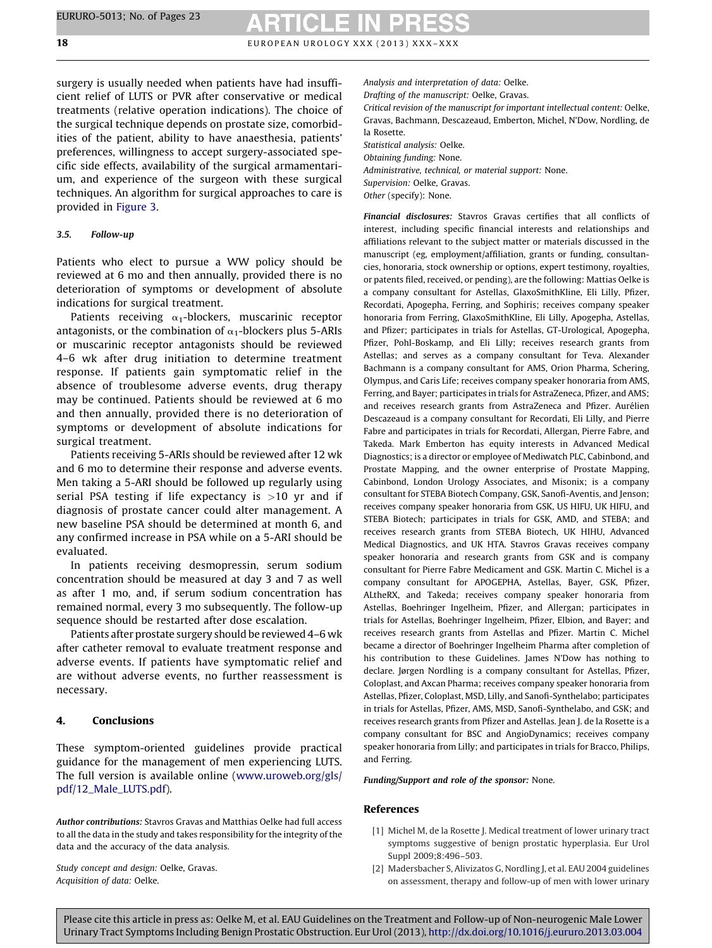<span id="page-17-0"></span>surgery is usually needed when patients have had insufficient relief of LUTS or PVR after conservative or medical treatments (relative operation indications). The choice of the surgical technique depends on prostate size, comorbidities of the patient, ability to have anaesthesia, patients' preferences, willingness to accept surgery-associated specific side effects, availability of the surgical armamentarium, and experience of the surgeon with these surgical techniques. An algorithm for surgical approaches to care is provided in [Figure](#page-16-0) 3.

#### 3.5. Follow-up

Patients who elect to pursue a WW policy should be reviewed at 6 mo and then annually, provided there is no deterioration of symptoms or development of absolute indications for surgical treatment.

Patients receiving  $\alpha_1$ -blockers, muscarinic receptor antagonists, or the combination of  $\alpha_1$ -blockers plus 5-ARIs or muscarinic receptor antagonists should be reviewed 4–6 wk after drug initiation to determine treatment response. If patients gain symptomatic relief in the absence of troublesome adverse events, drug therapy may be continued. Patients should be reviewed at 6 mo and then annually, provided there is no deterioration of symptoms or development of absolute indications for surgical treatment.

Patients receiving 5-ARIs should be reviewed after 12 wk and 6 mo to determine their response and adverse events. Men taking a 5-ARI should be followed up regularly using serial PSA testing if life expectancy is >10 yr and if diagnosis of prostate cancer could alter management. A new baseline PSA should be determined at month 6, and any confirmed increase in PSA while on a 5-ARI should be evaluated.

In patients receiving desmopressin, serum sodium concentration should be measured at day 3 and 7 as well as after 1 mo, and, if serum sodium concentration has remained normal, every 3 mo subsequently. The follow-up sequence should be restarted after dose escalation.

Patients after prostate surgery should be reviewed 4–6 wk after catheter removal to evaluate treatment response and adverse events. If patients have symptomatic relief and are without adverse events, no further reassessment is necessary.

#### 4. Conclusions

These symptom-oriented guidelines provide practical guidance for the management of men experiencing LUTS. The full version is available online ([www.uroweb.org/gls/](http://www.uroweb.org/gls/pdf/12_Male_LUTS.pdf) [pdf/12\\_Male\\_LUTS.pdf\)](http://www.uroweb.org/gls/pdf/12_Male_LUTS.pdf).

Author contributions: Stavros Gravas and Matthias Oelke had full access to all the data in the study and takes responsibility for the integrity of the data and the accuracy of the data analysis.

Study concept and design: Oelke, Gravas. Acquisition of data: Oelke.

Analysis and interpretation of data: Oelke. Drafting of the manuscript: Oelke, Gravas. Critical revision of the manuscript for important intellectual content: Oelke, Gravas, Bachmann, Descazeaud, Emberton, Michel, N'Dow, Nordling, de la Rosette. Statistical analysis: Oelke. Obtaining funding: None. Administrative, technical, or material support: None. Supervision: Oelke, Gravas. Other (specify): None.

Financial disclosures: Stavros Gravas certifies that all conflicts of interest, including specific financial interests and relationships and affiliations relevant to the subject matter or materials discussed in the manuscript (eg, employment/affiliation, grants or funding, consultancies, honoraria, stock ownership or options, expert testimony, royalties, or patents filed, received, or pending), are the following: Mattias Oelke is a company consultant for Astellas, GlaxoSmithKline, Eli Lilly, Pfizer, Recordati, Apogepha, Ferring, and Sophiris; receives company speaker honoraria from Ferring, GlaxoSmithKline, Eli Lilly, Apogepha, Astellas, and Pfizer; participates in trials for Astellas, GT-Urological, Apogepha, Pfizer, Pohl-Boskamp, and Eli Lilly; receives research grants from Astellas; and serves as a company consultant for Teva. Alexander Bachmann is a company consultant for AMS, Orion Pharma, Schering, Olympus, and Caris Life; receives company speaker honoraria from AMS, Ferring, and Bayer; participates in trials for AstraZeneca, Pfizer, and AMS; and receives research grants from AstraZeneca and Pfizer. Aurélien Descazeaud is a company consultant for Recordati, Eli Lilly, and Pierre Fabre and participates in trials for Recordati, Allergan, Pierre Fabre, and Takeda. Mark Emberton has equity interests in Advanced Medical Diagnostics; is a director or employee of Mediwatch PLC, Cabinbond, and Prostate Mapping, and the owner enterprise of Prostate Mapping, Cabinbond, London Urology Associates, and Misonix; is a company consultant for STEBA Biotech Company, GSK, Sanofi-Aventis, and Jenson; receives company speaker honoraria from GSK, US HIFU, UK HIFU, and STEBA Biotech; participates in trials for GSK, AMD, and STEBA; and receives research grants from STEBA Biotech, UK HIHU, Advanced Medical Diagnostics, and UK HTA. Stavros Gravas receives company speaker honoraria and research grants from GSK and is company consultant for Pierre Fabre Medicament and GSK. Martin C. Michel is a company consultant for APOGEPHA, Astellas, Bayer, GSK, Pfizer, ALtheRX, and Takeda; receives company speaker honoraria from Astellas, Boehringer Ingelheim, Pfizer, and Allergan; participates in trials for Astellas, Boehringer Ingelheim, Pfizer, Elbion, and Bayer; and receives research grants from Astellas and Pfizer. Martin C. Michel became a director of Boehringer Ingelheim Pharma after completion of his contribution to these Guidelines. James N'Dow has nothing to declare. Jørgen Nordling is a company consultant for Astellas, Pfizer, Coloplast, and Axcan Pharma; receives company speaker honoraria from Astellas, Pfizer, Coloplast, MSD, Lilly, and Sanofi-Synthelabo; participates in trials for Astellas, Pfizer, AMS, MSD, Sanofi-Synthelabo, and GSK; and receives research grants from Pfizer and Astellas. Jean J. de la Rosette is a company consultant for BSC and AngioDynamics; receives company speaker honoraria from Lilly; and participates in trials for Bracco, Philips, and Ferring.

Funding/Support and role of the sponsor: None.

#### References

- [1] Michel M, de la Rosette J. Medical treatment of lower urinary tract symptoms suggestive of benign prostatic hyperplasia. Eur Urol Suppl 2009;8:496–503.
- [2] Madersbacher S, Alivizatos G, Nordling J, et al. EAU 2004 guidelines on assessment, therapy and follow-up of men with lower urinary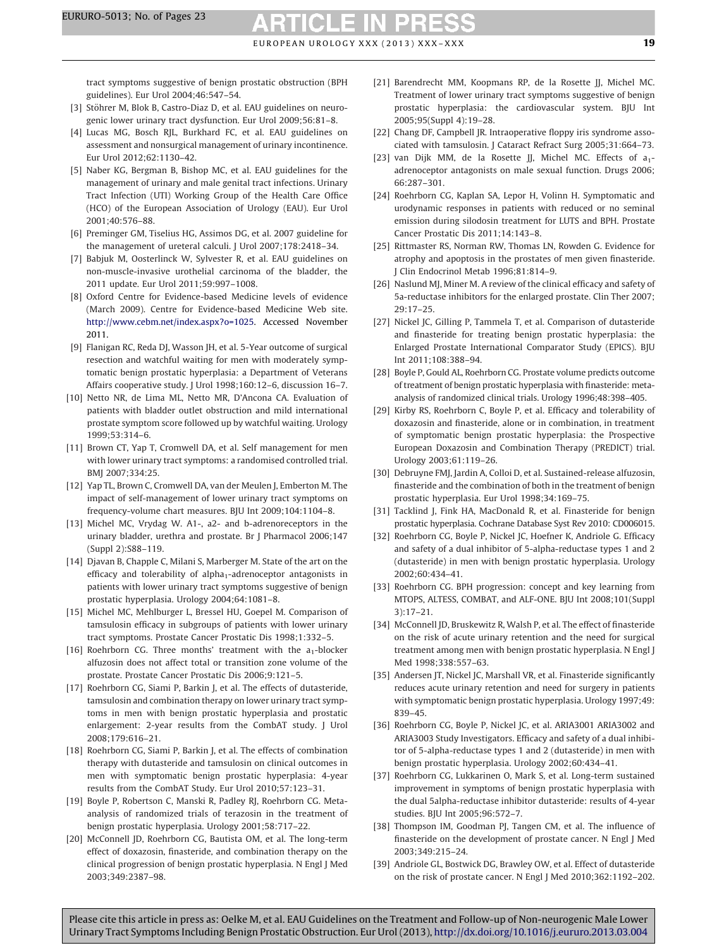<span id="page-18-0"></span>tract symptoms suggestive of benign prostatic obstruction (BPH guidelines). Eur Urol 2004;46:547–54.

- [3] Stöhrer M, Blok B, Castro-Diaz D, et al. EAU guidelines on neurogenic lower urinary tract dysfunction. Eur Urol 2009;56:81–8.
- [4] Lucas MG, Bosch RJL, Burkhard FC, et al. EAU guidelines on assessment and nonsurgical management of urinary incontinence. Eur Urol 2012;62:1130–42.
- [5] Naber KG, Bergman B, Bishop MC, et al. EAU guidelines for the management of urinary and male genital tract infections. Urinary Tract Infection (UTI) Working Group of the Health Care Office (HCO) of the European Association of Urology (EAU). Eur Urol 2001;40:576–88.
- [6] Preminger GM, Tiselius HG, Assimos DG, et al. 2007 guideline for the management of ureteral calculi. J Urol 2007;178:2418-34.
- [7] Babjuk M, Oosterlinck W, Sylvester R, et al. EAU guidelines on non-muscle-invasive urothelial carcinoma of the bladder, the 2011 update. Eur Urol 2011;59:997–1008.
- [8] Oxford Centre for Evidence-based Medicine levels of evidence (March 2009). Centre for Evidence-based Medicine Web site. [http://www.cebm.net/index.aspx?o=1025.](http://www.cebm.net/index.aspx?o=1025) Accessed November 2011.
- [9] Flanigan RC, Reda DJ, Wasson JH, et al. 5-Year outcome of surgical resection and watchful waiting for men with moderately symptomatic benign prostatic hyperplasia: a Department of Veterans Affairs cooperative study. J Urol 1998;160:12–6, discussion 16–7.
- [10] Netto NR, de Lima ML, Netto MR, D'Ancona CA. Evaluation of patients with bladder outlet obstruction and mild international prostate symptom score followed up by watchful waiting. Urology 1999;53:314–6.
- [11] Brown CT, Yap T, Cromwell DA, et al. Self management for men with lower urinary tract symptoms: a randomised controlled trial. BMJ 2007;334:25.
- [12] Yap TL, Brown C, Cromwell DA, van der Meulen J, Emberton M. The impact of self-management of lower urinary tract symptoms on frequency-volume chart measures. BJU Int 2009;104:1104–8.
- [13] Michel MC, Vrydag W. A1-, a2- and b-adrenoreceptors in the urinary bladder, urethra and prostate. Br J Pharmacol 2006;147 (Suppl 2):S88–119.
- [14] Djavan B, Chapple C, Milani S, Marberger M. State of the art on the efficacy and tolerability of alpha $1$ -adrenoceptor antagonists in patients with lower urinary tract symptoms suggestive of benign prostatic hyperplasia. Urology 2004;64:1081–8.
- [15] Michel MC, Mehlburger L, Bressel HU, Goepel M. Comparison of tamsulosin efficacy in subgroups of patients with lower urinary tract symptoms. Prostate Cancer Prostatic Dis 1998;1:332–5.
- [16] Roehrborn CG. Three months' treatment with the  $a_1$ -blocker alfuzosin does not affect total or transition zone volume of the prostate. Prostate Cancer Prostatic Dis 2006;9:121–5.
- [17] Roehrborn CG, Siami P, Barkin J, et al. The effects of dutasteride, tamsulosin and combination therapy on lower urinary tract symptoms in men with benign prostatic hyperplasia and prostatic enlargement: 2-year results from the CombAT study. J Urol 2008;179:616–21.
- [18] Roehrborn CG, Siami P, Barkin J, et al. The effects of combination therapy with dutasteride and tamsulosin on clinical outcomes in men with symptomatic benign prostatic hyperplasia: 4-year results from the CombAT Study. Eur Urol 2010;57:123–31.
- [19] Boyle P, Robertson C, Manski R, Padley RJ, Roehrborn CG. Metaanalysis of randomized trials of terazosin in the treatment of benign prostatic hyperplasia. Urology 2001;58:717–22.
- [20] McConnell JD, Roehrborn CG, Bautista OM, et al. The long-term effect of doxazosin, finasteride, and combination therapy on the clinical progression of benign prostatic hyperplasia. N Engl J Med 2003;349:2387–98.
- [21] Barendrecht MM, Koopmans RP, de la Rosette JJ, Michel MC. Treatment of lower urinary tract symptoms suggestive of benign prostatic hyperplasia: the cardiovascular system. BJU Int 2005;95(Suppl 4):19–28.
- [22] Chang DF, Campbell JR. Intraoperative floppy iris syndrome associated with tamsulosin. J Cataract Refract Surg 2005;31:664–73.
- [23] van Dijk MM, de la Rosette JJ, Michel MC. Effects of  $a_1$ adrenoceptor antagonists on male sexual function. Drugs 2006; 66:287–301.
- [24] Roehrborn CG, Kaplan SA, Lepor H, Volinn H. Symptomatic and urodynamic responses in patients with reduced or no seminal emission during silodosin treatment for LUTS and BPH. Prostate Cancer Prostatic Dis 2011;14:143–8.
- [25] Rittmaster RS, Norman RW, Thomas LN, Rowden G. Evidence for atrophy and apoptosis in the prostates of men given finasteride. J Clin Endocrinol Metab 1996;81:814–9.
- [26] Naslund MJ, Miner M. A review of the clinical efficacy and safety of 5a-reductase inhibitors for the enlarged prostate. Clin Ther 2007; 29:17–25.
- [27] Nickel JC, Gilling P, Tammela T, et al. Comparison of dutasteride and finasteride for treating benign prostatic hyperplasia: the Enlarged Prostate International Comparator Study (EPICS). BJU Int 2011;108:388–94.
- [28] Boyle P, Gould AL, Roehrborn CG. Prostate volume predicts outcome of treatment of benign prostatic hyperplasia with finasteride: metaanalysis of randomized clinical trials. Urology 1996;48:398–405.
- [29] Kirby RS, Roehrborn C, Boyle P, et al. Efficacy and tolerability of doxazosin and finasteride, alone or in combination, in treatment of symptomatic benign prostatic hyperplasia: the Prospective European Doxazosin and Combination Therapy (PREDICT) trial. Urology 2003;61:119–26.
- [30] Debruyne FMJ, Jardin A, Colloi D, et al. Sustained-release alfuzosin, finasteride and the combination of both in the treatment of benign prostatic hyperplasia. Eur Urol 1998;34:169–75.
- [31] Tacklind J, Fink HA, MacDonald R, et al. Finasteride for benign prostatic hyperplasia. Cochrane Database Syst Rev 2010: CD006015.
- [32] Roehrborn CG, Boyle P, Nickel JC, Hoefner K, Andriole G. Efficacy and safety of a dual inhibitor of 5-alpha-reductase types 1 and 2 (dutasteride) in men with benign prostatic hyperplasia. Urology 2002;60:434–41.
- [33] Roehrborn CG. BPH progression: concept and key learning from MTOPS, ALTESS, COMBAT, and ALF-ONE. BJU Int 2008;101(Suppl 3):17–21.
- [34] McConnell JD, Bruskewitz R, Walsh P, et al. The effect of finasteride on the risk of acute urinary retention and the need for surgical treatment among men with benign prostatic hyperplasia. N Engl J Med 1998;338:557–63.
- [35] Andersen JT, Nickel JC, Marshall VR, et al. Finasteride significantly reduces acute urinary retention and need for surgery in patients with symptomatic benign prostatic hyperplasia. Urology 1997;49: 839–45.
- [36] Roehrborn CG, Boyle P, Nickel JC, et al. ARIA3001 ARIA3002 and ARIA3003 Study Investigators. Efficacy and safety of a dual inhibitor of 5-alpha-reductase types 1 and 2 (dutasteride) in men with benign prostatic hyperplasia. Urology 2002;60:434–41.
- [37] Roehrborn CG, Lukkarinen O, Mark S, et al. Long-term sustained improvement in symptoms of benign prostatic hyperplasia with the dual 5alpha-reductase inhibitor dutasteride: results of 4-year studies. BJU Int 2005;96:572–7.
- [38] Thompson IM, Goodman PJ, Tangen CM, et al. The influence of finasteride on the development of prostate cancer. N Engl J Med 2003;349:215–24.
- [39] Andriole GL, Bostwick DG, Brawley OW, et al. Effect of dutasteride on the risk of prostate cancer. N Engl J Med 2010;362:1192–202.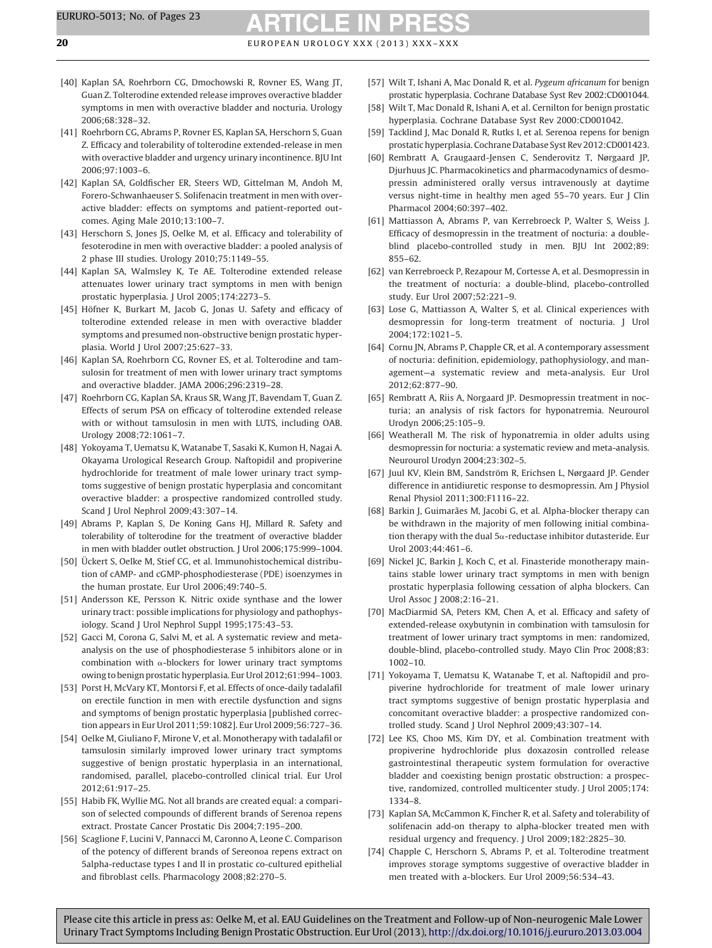- <span id="page-19-0"></span>[40] Kaplan SA, Roehrborn CG, Dmochowski R, Rovner ES, Wang JT, Guan Z. Tolterodine extended release improves overactive bladder symptoms in men with overactive bladder and nocturia. Urology 2006;68:328–32.
- [41] Roehrborn CG, Abrams P, Rovner ES, Kaplan SA, Herschorn S, Guan Z. Efficacy and tolerability of tolterodine extended-release in men with overactive bladder and urgency urinary incontinence. BJU Int 2006;97:1003–6.
- [42] Kaplan SA, Goldfischer ER, Steers WD, Gittelman M, Andoh M, Forero-Schwanhaeuser S. Solifenacin treatment in men with overactive bladder: effects on symptoms and patient-reported outcomes. Aging Male 2010;13:100–7.
- [43] Herschorn S, Jones JS, Oelke M, et al. Efficacy and tolerability of fesoterodine in men with overactive bladder: a pooled analysis of 2 phase III studies. Urology 2010;75:1149–55.
- [44] Kaplan SA, Walmsley K, Te AE. Tolterodine extended release attenuates lower urinary tract symptoms in men with benign prostatic hyperplasia. J Urol 2005;174:2273–5.
- [45] Höfner K, Burkart M, Jacob G, Jonas U. Safety and efficacy of tolterodine extended release in men with overactive bladder symptoms and presumed non-obstructive benign prostatic hyperplasia. World J Urol 2007;25:627–33.
- [46] Kaplan SA, Roehrborn CG, Rovner ES, et al. Tolterodine and tamsulosin for treatment of men with lower urinary tract symptoms and overactive bladder. JAMA 2006;296:2319–28.
- [47] Roehrborn CG, Kaplan SA, Kraus SR, Wang JT, Bavendam T, Guan Z. Effects of serum PSA on efficacy of tolterodine extended release with or without tamsulosin in men with LUTS, including OAB. Urology 2008;72:1061–7.
- [48] Yokoyama T, Uematsu K, Watanabe T, Sasaki K, Kumon H, Nagai A. Okayama Urological Research Group. Naftopidil and propiverine hydrochloride for treatment of male lower urinary tract symptoms suggestive of benign prostatic hyperplasia and concomitant overactive bladder: a prospective randomized controlled study. Scand J Urol Nephrol 2009;43:307–14.
- [49] Abrams P, Kaplan S, De Koning Gans HJ, Millard R. Safety and tolerability of tolterodine for the treatment of overactive bladder in men with bladder outlet obstruction. J Urol 2006;175:999–1004.
- [50] Ückert S, Oelke M, Stief CG, et al. Immunohistochemical distribution of cAMP- and cGMP-phosphodiesterase (PDE) isoenzymes in the human prostate. Eur Urol 2006;49:740–5.
- [51] Andersson KE, Persson K. Nitric oxide synthase and the lower urinary tract: possible implications for physiology and pathophysiology. Scand J Urol Nephrol Suppl 1995;175:43–53.
- [52] Gacci M, Corona G, Salvi M, et al. A systematic review and metaanalysis on the use of phosphodiesterase 5 inhibitors alone or in combination with  $\alpha$ -blockers for lower urinary tract symptoms owing to benign prostatic hyperplasia. Eur Urol 2012;61:994–1003.
- [53] Porst H, McVary KT, Montorsi F, et al. Effects of once-daily tadalafil on erectile function in men with erectile dysfunction and signs and symptoms of benign prostatic hyperplasia [published correction appears in Eur Urol 2011;59:1082]. Eur Urol 2009;56:727–36.
- [54] Oelke M, Giuliano F, Mirone V, et al. Monotherapy with tadalafil or tamsulosin similarly improved lower urinary tract symptoms suggestive of benign prostatic hyperplasia in an international, randomised, parallel, placebo-controlled clinical trial. Eur Urol 2012;61:917–25.
- [55] Habib FK, Wyllie MG. Not all brands are created equal: a comparison of selected compounds of different brands of Serenoa repens extract. Prostate Cancer Prostatic Dis 2004;7:195–200.
- [56] Scaglione F, Lucini V, Pannacci M, Caronno A, Leone C. Comparison of the potency of different brands of Sereonoa repens extract on 5alpha-reductase types I and II in prostatic co-cultured epithelial and fibroblast cells. Pharmacology 2008;82:270–5.
- [57] Wilt T, Ishani A, Mac Donald R, et al. *Pygeum africanum* for benign prostatic hyperplasia. Cochrane Database Syst Rev 2002:CD001044.
- [58] Wilt T, Mac Donald R, Ishani A, et al. Cernilton for benign prostatic hyperplasia. Cochrane Database Syst Rev 2000:CD001042.
- [59] Tacklind J, Mac Donald R, Rutks I, et al. Serenoa repens for benign prostatic hyperplasia. Cochrane Database Syst Rev 2012:CD001423.
- [60] Rembratt A, Graugaard-Jensen C, Senderovitz T, Nørgaard JP, Djurhuus JC. Pharmacokinetics and pharmacodynamics of desmopressin administered orally versus intravenously at daytime versus night-time in healthy men aged 55–70 years. Eur J Clin Pharmacol 2004;60:397–402.
- [61] Mattiasson A, Abrams P, van Kerrebroeck P, Walter S, Weiss J. Efficacy of desmopressin in the treatment of nocturia: a doubleblind placebo-controlled study in men. BJU Int 2002;89: 855–62.
- [62] van Kerrebroeck P, Rezapour M, Cortesse A, et al. Desmopressin in the treatment of nocturia: a double-blind, placebo-controlled study. Eur Urol 2007;52:221–9.
- [63] Lose G, Mattiasson A, Walter S, et al. Clinical experiences with desmopressin for long-term treatment of nocturia. J Urol 2004;172:1021–5.
- [64] Cornu JN, Abrams P, Chapple CR, et al. A contemporary assessment of nocturia: definition, epidemiology, pathophysiology, and management—a systematic review and meta-analysis. Eur Urol 2012;62:877–90.
- [65] Rembratt A, Riis A, Norgaard JP. Desmopressin treatment in nocturia; an analysis of risk factors for hyponatremia. Neurourol Urodyn 2006;25:105–9.
- [66] Weatherall M. The risk of hyponatremia in older adults using desmopressin for nocturia: a systematic review and meta-analysis. Neurourol Urodyn 2004;23:302–5.
- [67] Juul KV, Klein BM, Sandström R, Erichsen L, Nørgaard JP. Gender difference in antidiuretic response to desmopressin. Am J Physiol Renal Physiol 2011;300:F1116–22.
- [68] Barkin J, Guimarães M, Jacobi G, et al. Alpha-blocker therapy can be withdrawn in the majority of men following initial combination therapy with the dual  $5\alpha$ -reductase inhibitor dutasteride. Eur Urol 2003;44:461–6.
- [69] Nickel JC, Barkin J, Koch C, et al. Finasteride monotherapy maintains stable lower urinary tract symptoms in men with benign prostatic hyperplasia following cessation of alpha blockers. Can Urol Assoc J 2008;2:16–21.
- [70] MacDiarmid SA, Peters KM, Chen A, et al. Efficacy and safety of extended-release oxybutynin in combination with tamsulosin for treatment of lower urinary tract symptoms in men: randomized, double-blind, placebo-controlled study. Mayo Clin Proc 2008;83: 1002–10.
- [71] Yokoyama T, Uematsu K, Watanabe T, et al. Naftopidil and propiverine hydrochloride for treatment of male lower urinary tract symptoms suggestive of benign prostatic hyperplasia and concomitant overactive bladder: a prospective randomized controlled study. Scand J Urol Nephrol 2009;43:307–14.
- [72] Lee KS, Choo MS, Kim DY, et al. Combination treatment with propiverine hydrochloride plus doxazosin controlled release gastrointestinal therapeutic system formulation for overactive bladder and coexisting benign prostatic obstruction: a prospective, randomized, controlled multicenter study. J Urol 2005;174: 1334–8.
- [73] Kaplan SA, McCammon K, Fincher R, et al. Safety and tolerability of solifenacin add-on therapy to alpha-blocker treated men with residual urgency and frequency. J Urol 2009;182:2825–30.
- [74] Chapple C, Herschorn S, Abrams P, et al. Tolterodine treatment improves storage symptoms suggestive of overactive bladder in men treated with a-blockers. Eur Urol 2009;56:534–43.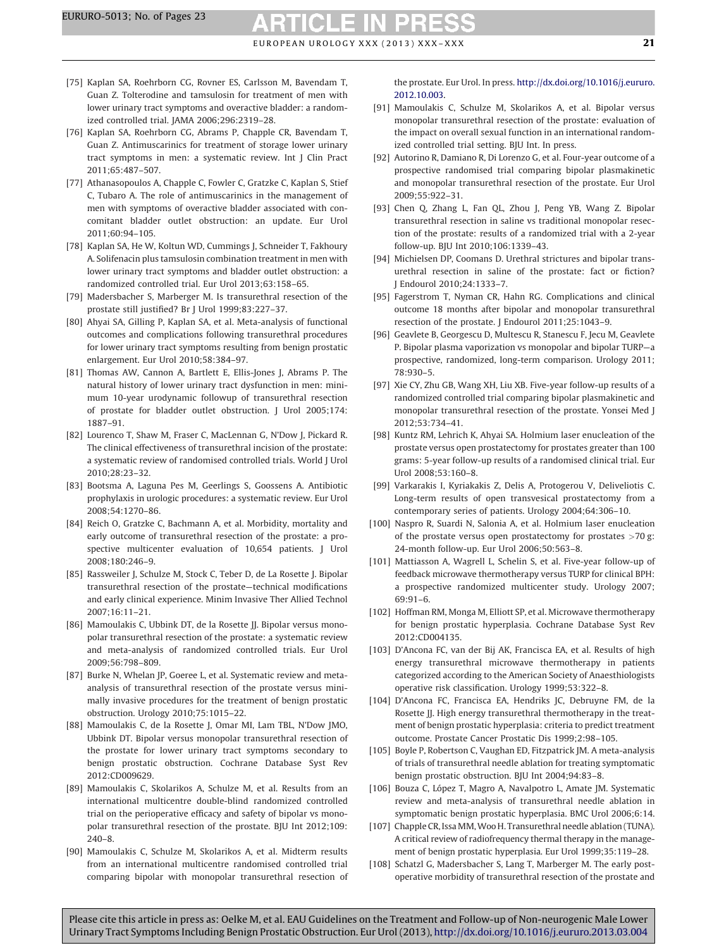- 
- <span id="page-20-0"></span>[75] Kaplan SA, Roehrborn CG, Rovner ES, Carlsson M, Bavendam T, Guan Z. Tolterodine and tamsulosin for treatment of men with lower urinary tract symptoms and overactive bladder: a randomized controlled trial. JAMA 2006;296:2319–28.
- [76] Kaplan SA, Roehrborn CG, Abrams P, Chapple CR, Bavendam T, Guan Z. Antimuscarinics for treatment of storage lower urinary tract symptoms in men: a systematic review. Int J Clin Pract 2011;65:487–507.
- [77] Athanasopoulos A, Chapple C, Fowler C, Gratzke C, Kaplan S, Stief C, Tubaro A. The role of antimuscarinics in the management of men with symptoms of overactive bladder associated with concomitant bladder outlet obstruction: an update. Eur Urol 2011;60:94–105.
- [78] Kaplan SA, He W, Koltun WD, Cummings J, Schneider T, Fakhoury A. Solifenacin plus tamsulosin combination treatment in men with lower urinary tract symptoms and bladder outlet obstruction: a randomized controlled trial. Eur Urol 2013;63:158–65.
- [79] Madersbacher S, Marberger M. Is transurethral resection of the prostate still justified? Br J Urol 1999;83:227–37.
- [80] Ahyai SA, Gilling P, Kaplan SA, et al. Meta-analysis of functional outcomes and complications following transurethral procedures for lower urinary tract symptoms resulting from benign prostatic enlargement. Eur Urol 2010;58:384–97.
- [81] Thomas AW, Cannon A, Bartlett E, Ellis-Jones J, Abrams P. The natural history of lower urinary tract dysfunction in men: minimum 10-year urodynamic followup of transurethral resection of prostate for bladder outlet obstruction. J Urol 2005;174: 1887–91.
- [82] Lourenco T, Shaw M, Fraser C, MacLennan G, N'Dow J, Pickard R. The clinical effectiveness of transurethral incision of the prostate: a systematic review of randomised controlled trials. World J Urol 2010;28:23–32.
- [83] Bootsma A, Laguna Pes M, Geerlings S, Goossens A. Antibiotic prophylaxis in urologic procedures: a systematic review. Eur Urol 2008;54:1270–86.
- [84] Reich O, Gratzke C, Bachmann A, et al. Morbidity, mortality and early outcome of transurethral resection of the prostate: a prospective multicenter evaluation of 10,654 patients. J Urol 2008;180:246–9.
- [85] Rassweiler J, Schulze M, Stock C, Teber D, de La Rosette J. Bipolar transurethral resection of the prostate—technical modifications and early clinical experience. Minim Invasive Ther Allied Technol 2007;16:11–21.
- [86] Mamoulakis C, Ubbink DT, de la Rosette JJ. Bipolar versus monopolar transurethral resection of the prostate: a systematic review and meta-analysis of randomized controlled trials. Eur Urol 2009;56:798–809.
- [87] Burke N, Whelan JP, Goeree L, et al. Systematic review and metaanalysis of transurethral resection of the prostate versus minimally invasive procedures for the treatment of benign prostatic obstruction. Urology 2010;75:1015–22.
- [88] Mamoulakis C, de la Rosette J, Omar MI, Lam TBL, N'Dow JMO, Ubbink DT. Bipolar versus monopolar transurethral resection of the prostate for lower urinary tract symptoms secondary to benign prostatic obstruction. Cochrane Database Syst Rev 2012:CD009629.
- [89] Mamoulakis C, Skolarikos A, Schulze M, et al. Results from an international multicentre double-blind randomized controlled trial on the perioperative efficacy and safety of bipolar vs monopolar transurethral resection of the prostate. BJU Int 2012;109: 240–8.
- [90] Mamoulakis C, Schulze M, Skolarikos A, et al. Midterm results from an international multicentre randomised controlled trial comparing bipolar with monopolar transurethral resection of

the prostate. Eur Urol. In press. [http://dx.doi.org/10.1016/j.eururo.](http://dx.doi.org/10.1016/j.eururo.2012.10.003) [2012.10.003](http://dx.doi.org/10.1016/j.eururo.2012.10.003).

- [91] Mamoulakis C, Schulze M, Skolarikos A, et al. Bipolar versus monopolar transurethral resection of the prostate: evaluation of the impact on overall sexual function in an international randomized controlled trial setting. BJU Int. In press.
- [92] Autorino R, Damiano R, Di Lorenzo G, et al. Four-year outcome of a prospective randomised trial comparing bipolar plasmakinetic and monopolar transurethral resection of the prostate. Eur Urol 2009;55:922–31.
- [93] Chen Q, Zhang L, Fan QL, Zhou J, Peng YB, Wang Z. Bipolar transurethral resection in saline vs traditional monopolar resection of the prostate: results of a randomized trial with a 2-year follow-up. BJU Int 2010;106:1339–43.
- [94] Michielsen DP, Coomans D. Urethral strictures and bipolar transurethral resection in saline of the prostate: fact or fiction? J Endourol 2010;24:1333–7.
- [95] Fagerstrom T, Nyman CR, Hahn RG. Complications and clinical outcome 18 months after bipolar and monopolar transurethral resection of the prostate. J Endourol 2011;25:1043–9.
- [96] Geavlete B, Georgescu D, Multescu R, Stanescu F, Jecu M, Geavlete P. Bipolar plasma vaporization vs monopolar and bipolar TURP—a prospective, randomized, long-term comparison. Urology 2011; 78:930–5.
- [97] Xie CY, Zhu GB, Wang XH, Liu XB. Five-year follow-up results of a randomized controlled trial comparing bipolar plasmakinetic and monopolar transurethral resection of the prostate. Yonsei Med J 2012;53:734–41.
- [98] Kuntz RM, Lehrich K, Ahyai SA. Holmium laser enucleation of the prostate versus open prostatectomy for prostates greater than 100 grams: 5-year follow-up results of a randomised clinical trial. Eur Urol 2008;53:160–8.
- [99] Varkarakis I, Kyriakakis Z, Delis A, Protogerou V, Deliveliotis C. Long-term results of open transvesical prostatectomy from a contemporary series of patients. Urology 2004;64:306–10.
- [100] Naspro R, Suardi N, Salonia A, et al. Holmium laser enucleation of the prostate versus open prostatectomy for prostates >70 g: 24-month follow-up. Eur Urol 2006;50:563–8.
- [101] Mattiasson A, Wagrell L, Schelin S, et al. Five-year follow-up of feedback microwave thermotherapy versus TURP for clinical BPH: a prospective randomized multicenter study. Urology 2007; 69:91–6.
- [102] Hoffman RM, Monga M, Elliott SP, et al. Microwave thermotherapy for benign prostatic hyperplasia. Cochrane Database Syst Rev 2012:CD004135.
- [103] D'Ancona FC, van der Bij AK, Francisca EA, et al. Results of high energy transurethral microwave thermotherapy in patients categorized according to the American Society of Anaesthiologists operative risk classification. Urology 1999;53:322–8.
- [104] D'Ancona FC, Francisca EA, Hendriks JC, Debruyne FM, de la Rosette JJ. High energy transurethral thermotherapy in the treatment of benign prostatic hyperplasia: criteria to predict treatment outcome. Prostate Cancer Prostatic Dis 1999;2:98–105.
- [105] Boyle P, Robertson C, Vaughan ED, Fitzpatrick JM. A meta-analysis of trials of transurethral needle ablation for treating symptomatic benign prostatic obstruction. BJU Int 2004;94:83–8.
- [106] Bouza C, López T, Magro A, Navalpotro L, Amate JM. Systematic review and meta-analysis of transurethral needle ablation in symptomatic benign prostatic hyperplasia. BMC Urol 2006;6:14.
- [107] Chapple CR, Issa MM, Woo H. Transurethral needle ablation (TUNA). A critical review of radiofrequency thermal therapy in the management of benign prostatic hyperplasia. Eur Urol 1999;35:119–28.
- [108] Schatzl G, Madersbacher S, Lang T, Marberger M. The early postoperative morbidity of transurethral resection of the prostate and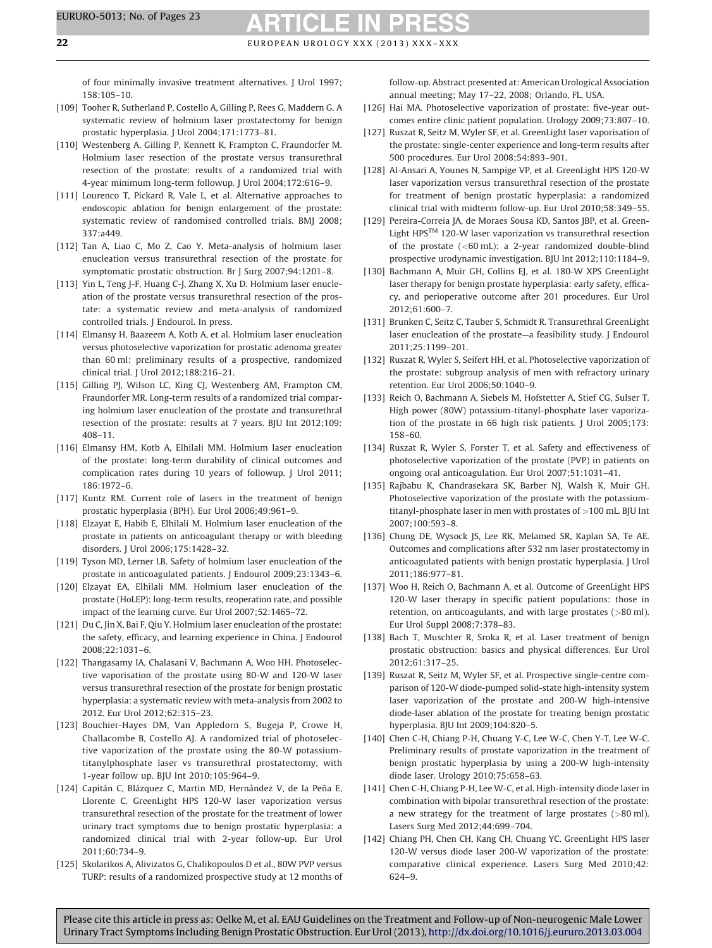- <span id="page-21-0"></span>[109] Tooher R, Sutherland P, Costello A, Gilling P, Rees G, Maddern G. A systematic review of holmium laser prostatectomy for benign prostatic hyperplasia. J Urol 2004;171:1773–81.
- [110] Westenberg A, Gilling P, Kennett K, Frampton C, Fraundorfer M. Holmium laser resection of the prostate versus transurethral resection of the prostate: results of a randomized trial with 4-year minimum long-term followup. J Urol 2004;172:616–9.
- [111] Lourenco T, Pickard R, Vale L, et al. Alternative approaches to endoscopic ablation for benign enlargement of the prostate: systematic review of randomised controlled trials. BMJ 2008; 337:a449.
- [112] Tan A, Liao C, Mo Z, Cao Y. Meta-analysis of holmium laser enucleation versus transurethral resection of the prostate for symptomatic prostatic obstruction. Br J Surg 2007;94:1201–8.
- [113] Yin L, Teng J-F, Huang C-J, Zhang X, Xu D. Holmium laser enucleation of the prostate versus transurethral resection of the prostate: a systematic review and meta-analysis of randomized controlled trials. J Endourol. In press.
- [114] Elmansy H, Baazeem A, Kotb A, et al. Holmium laser enucleation versus photoselective vaporization for prostatic adenoma greater than 60 ml: preliminary results of a prospective, randomized clinical trial. J Urol 2012;188:216–21.
- [115] Gilling PJ, Wilson LC, King CJ, Westenberg AM, Frampton CM, Fraundorfer MR. Long-term results of a randomized trial comparing holmium laser enucleation of the prostate and transurethral resection of the prostate: results at 7 years. BJU Int 2012;109: 408–11.
- [116] Elmansy HM, Kotb A, Elhilali MM. Holmium laser enucleation of the prostate: long-term durability of clinical outcomes and complication rates during 10 years of followup. J Urol 2011; 186:1972–6.
- [117] Kuntz RM. Current role of lasers in the treatment of benign prostatic hyperplasia (BPH). Eur Urol 2006;49:961–9.
- [118] Elzayat E, Habib E, Elhilali M. Holmium laser enucleation of the prostate in patients on anticoagulant therapy or with bleeding disorders. J Urol 2006;175:1428–32.
- [119] Tyson MD, Lerner LB. Safety of holmium laser enucleation of the prostate in anticoagulated patients. J Endourol 2009;23:1343–6.
- [120] Elzayat EA, Elhilali MM. Holmium laser enucleation of the prostate (HoLEP): long-term results, reoperation rate, and possible impact of the learning curve. Eur Urol 2007;52:1465–72.
- [121] Du C, Jin X, Bai F, Qiu Y. Holmium laser enucleation of the prostate: the safety, efficacy, and learning experience in China. J Endourol 2008;22:1031–6.
- [122] Thangasamy IA, Chalasani V, Bachmann A, Woo HH. Photoselective vaporisation of the prostate using 80-W and 120-W laser versus transurethral resection of the prostate for benign prostatic hyperplasia: a systematic review with meta-analysis from 2002 to 2012. Eur Urol 2012;62:315–23.
- [123] Bouchier-Hayes DM, Van Appledorn S, Bugeja P, Crowe H, Challacombe B, Costello AJ. A randomized trial of photoselective vaporization of the prostate using the 80-W potassiumtitanylphosphate laser vs transurethral prostatectomy, with 1-year follow up. BJU Int 2010;105:964–9.
- [124] Capitán C, Blázquez C, Martin MD, Hernández V, de la Peña E, Llorente C. GreenLight HPS 120-W laser vaporization versus transurethral resection of the prostate for the treatment of lower urinary tract symptoms due to benign prostatic hyperplasia: a randomized clinical trial with 2-year follow-up. Eur Urol 2011;60:734–9.
- [125] Skolarikos A, Alivizatos G, Chalikopoulos D et al., 80W PVP versus TURP: results of a randomized prospective study at 12 months of

follow-up. Abstract presented at: American Urological Association annual meeting; May 17–22, 2008; Orlando, FL, USA.

- [126] Hai MA. Photoselective vaporization of prostate: five-year outcomes entire clinic patient population. Urology 2009;73:807–10.
- [127] Ruszat R, Seitz M, Wyler SF, et al. GreenLight laser vaporisation of the prostate: single-center experience and long-term results after 500 procedures. Eur Urol 2008;54:893–901.
- [128] Al-Ansari A, Younes N, Sampige VP, et al. GreenLight HPS 120-W laser vaporization versus transurethral resection of the prostate for treatment of benign prostatic hyperplasia: a randomized clinical trial with midterm follow-up. Eur Urol 2010;58:349–55.
- [129] Pereira-Correia JA, de Moraes Sousa KD, Santos JBP, et al. Green-Light  $HPS^{TM}$  120-W laser vaporization vs transurethral resection of the prostate  $( $60 \text{ mL}$ )$ : a 2-year randomized double-blind prospective urodynamic investigation. BJU Int 2012;110:1184–9.
- [130] Bachmann A, Muir GH, Collins EJ, et al. 180-W XPS GreenLight laser therapy for benign prostate hyperplasia: early safety, efficacy, and perioperative outcome after 201 procedures. Eur Urol 2012;61:600–7.
- [131] Brunken C, Seitz C, Tauber S, Schmidt R. Transurethral GreenLight laser enucleation of the prostate—a feasibility study. J Endourol 2011;25:1199–201.
- [132] Ruszat R, Wyler S, Seifert HH, et al. Photoselective vaporization of the prostate: subgroup analysis of men with refractory urinary retention. Eur Urol 2006;50:1040–9.
- [133] Reich O, Bachmann A, Siebels M, Hofstetter A, Stief CG, Sulser T. High power (80W) potassium-titanyl-phosphate laser vaporization of the prostate in 66 high risk patients. J Urol 2005;173: 158–60.
- [134] Ruszat R, Wyler S, Forster T, et al. Safety and effectiveness of photoselective vaporization of the prostate (PVP) in patients on ongoing oral anticoagulation. Eur Urol 2007;51:1031–41.
- [135] Rajbabu K, Chandrasekara SK, Barber NJ, Walsh K, Muir GH. Photoselective vaporization of the prostate with the potassiumtitanyl-phosphate laser in men with prostates of >100 mL. BJU Int 2007;100:593–8.
- [136] Chung DE, Wysock JS, Lee RK, Melamed SR, Kaplan SA, Te AE. Outcomes and complications after 532 nm laser prostatectomy in anticoagulated patients with benign prostatic hyperplasia. J Urol 2011;186:977–81.
- [137] Woo H, Reich O, Bachmann A, et al. Outcome of GreenLight HPS 120-W laser therapy in specific patient populations: those in retention, on anticoagulants, and with large prostates (>80 ml). Eur Urol Suppl 2008;7:378–83.
- [138] Bach T, Muschter R, Sroka R, et al. Laser treatment of benign prostatic obstruction: basics and physical differences. Eur Urol 2012;61:317–25.
- [139] Ruszat R, Seitz M, Wyler SF, et al. Prospective single-centre comparison of 120-W diode-pumped solid-state high-intensity system laser vaporization of the prostate and 200-W high-intensive diode-laser ablation of the prostate for treating benign prostatic hyperplasia. BJU Int 2009;104:820–5.
- [140] Chen C-H, Chiang P-H, Chuang Y-C, Lee W-C, Chen Y-T, Lee W-C. Preliminary results of prostate vaporization in the treatment of benign prostatic hyperplasia by using a 200-W high-intensity diode laser. Urology 2010;75:658–63.
- [141] Chen C-H, Chiang P-H, Lee W-C, et al. High-intensity diode laser in combination with bipolar transurethral resection of the prostate: a new strategy for the treatment of large prostates (>80 ml). Lasers Surg Med 2012;44:699–704.
- [142] Chiang PH, Chen CH, Kang CH, Chuang YC. GreenLight HPS laser 120-W versus diode laser 200-W vaporization of the prostate: comparative clinical experience. Lasers Surg Med 2010;42: 624–9.